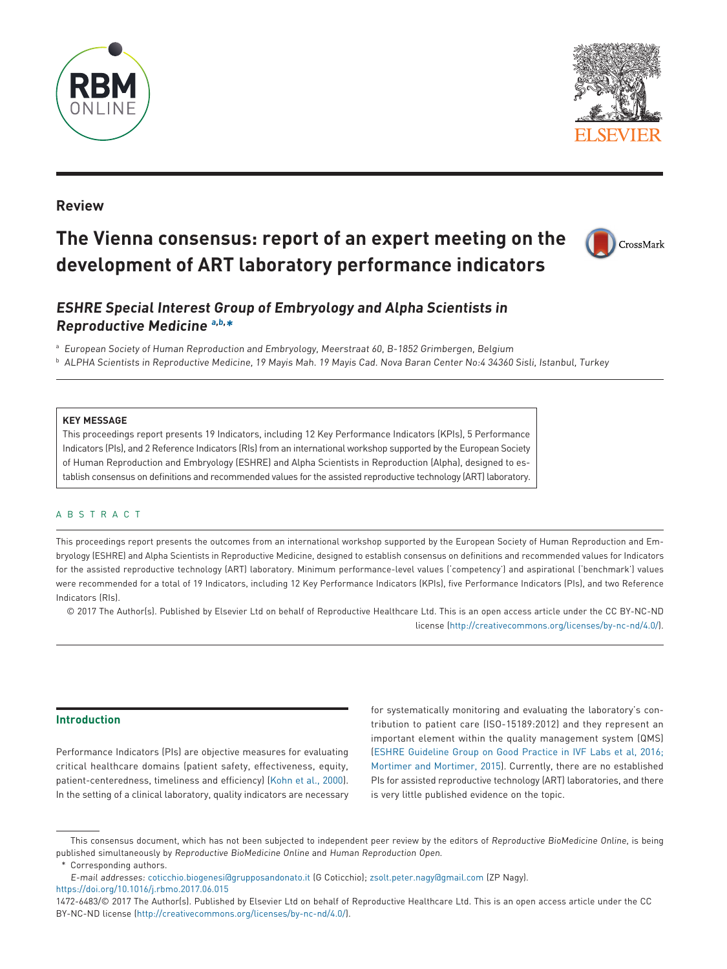



# **Review**

# **The Vienna consensus: report of an expert meeting on the development of ART laboratory performance indicators**



# **ESHRE Special Interest Group of Embryology and Alpha Scientists in Reproductive Medicine [a,](#page-0-0)[b,](#page-0-1) [\\*](#page-0-2)**

<span id="page-0-0"></span><sup>a</sup> European Society of Human Reproduction and Embryology, Meerstraat 60, B-1852 Grimbergen, Belgium

<span id="page-0-1"></span><sup>b</sup> ALPHA Scientists in Reproductive Medicine, 19 Mayis Mah. 19 Mayis Cad. Nova Baran Center No:4 34360 Sisli, Istanbul, Turkey

# **KEY MESSAGE**

This proceedings report presents 19 Indicators, including 12 Key Performance Indicators (KPIs), 5 Performance Indicators (PIs), and 2 Reference Indicators (RIs) from an international workshop supported by the European Society of Human Reproduction and Embryology (ESHRE) and Alpha Scientists in Reproduction (Alpha), designed to establish consensus on definitions and recommended values for the assisted reproductive technology (ART) laboratory.

# ABSTRACT

This proceedings report presents the outcomes from an international workshop supported by the European Society of Human Reproduction and Embryology (ESHRE) and Alpha Scientists in Reproductive Medicine, designed to establish consensus on definitions and recommended values for Indicators for the assisted reproductive technology (ART) laboratory. Minimum performance-level values ('competency') and aspirational ('benchmark') values were recommended for a total of 19 Indicators, including 12 Key Performance Indicators (KPIs), five Performance Indicators (PIs), and two Reference Indicators (RIs).

© 2017 The Author(s). Published by Elsevier Ltd on behalf of Reproductive Healthcare Ltd. This is an open access article under the CC BY-NC-ND license (http://creativecommons.org/licenses/by-nc-nd/4.0/).

# **Introduction**

Performance Indicators (PIs) are objective measures for evaluating critical healthcare domains (patient safety, effectiveness, equity, patient-centeredness, timeliness and efficiency) [\(Kohn et al., 2000\)](#page-14-0). In the setting of a clinical laboratory, quality indicators are necessary

for systematically monitoring and evaluating the laboratory's contribution to patient care (ISO-15189:2012) and they represent an important element within the quality management system (QMS) [\(ESHRE Guideline Group on Good Practice in IVF Labs et al, 2016;](#page-14-1) [Mortimer and Mortimer, 2015\)](#page-14-1). Currently, there are no established PIs for assisted reproductive technology (ART) laboratories, and there is very little published evidence on the topic.

This consensus document, which has not been subjected to independent peer review by the editors of Reproductive BioMedicine Online, is being published simultaneously by Reproductive BioMedicine Online and Human Reproduction Open.

<span id="page-0-2"></span>Corresponding authors.

E-mail addresses: [coticchio.biogenesi@grupposandonato.it](mailto:coticchio.biogenesi@grupposandonato.it) (G Coticchio); [zsolt.peter.nagy@gmail.com](mailto:zsolt.peter.nagy@gmail.com) (ZP Nagy).

https://doi.org/10.1016/j.rbmo.2017.06.015

<sup>1472-6483/© 2017</sup> The Author(s). Published by Elsevier Ltd on behalf of Reproductive Healthcare Ltd. This is an open access article under the CC BY-NC-ND license (http://creativecommons.org/licenses/by-nc-nd/4.0/).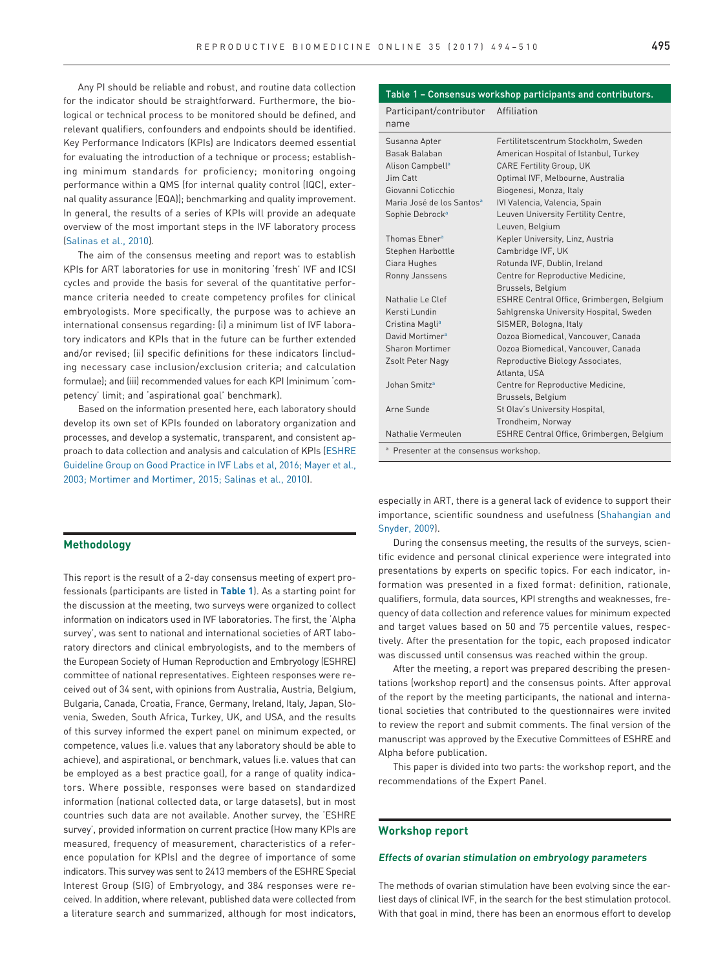Any PI should be reliable and robust, and routine data collection for the indicator should be straightforward. Furthermore, the biological or technical process to be monitored should be defined, and relevant qualifiers, confounders and endpoints should be identified. Key Performance Indicators (KPIs) are Indicators deemed essential for evaluating the introduction of a technique or process; establishing minimum standards for proficiency; monitoring ongoing performance within a QMS (for internal quality control (IQC), external quality assurance (EQA)); benchmarking and quality improvement. In general, the results of a series of KPIs will provide an adequate overview of the most important steps in the IVF laboratory process [\(Salinas et al., 2010\)](#page-15-0).

The aim of the consensus meeting and report was to establish KPIs for ART laboratories for use in monitoring 'fresh' IVF and ICSI cycles and provide the basis for several of the quantitative performance criteria needed to create competency profiles for clinical embryologists. More specifically, the purpose was to achieve an international consensus regarding: (i) a minimum list of IVF laboratory indicators and KPIs that in the future can be further extended and/or revised; (ii) specific definitions for these indicators (including necessary case inclusion/exclusion criteria; and calculation formulae); and (iii) recommended values for each KPI (minimum 'competency' limit; and 'aspirational goal' benchmark).

Based on the information presented here, each laboratory should develop its own set of KPIs founded on laboratory organization and processes, and develop a systematic, transparent, and consistent approach to data collection and analysis and calculation of KPIs [\(ESHRE](#page-14-1) [Guideline Group on Good Practice in IVF Labs et al, 2016; Mayer et al.,](#page-14-1) [2003; Mortimer and Mortimer, 2015; Salinas et al., 2010\)](#page-14-1).

### **Methodology**

This report is the result of a 2-day consensus meeting of expert professionals (participants are listed in **Table 1**). As a starting point for the discussion at the meeting, two surveys were organized to collect information on indicators used in IVF laboratories. The first, the 'Alpha survey', was sent to national and international societies of ART laboratory directors and clinical embryologists, and to the members of the European Society of Human Reproduction and Embryology (ESHRE) committee of national representatives. Eighteen responses were received out of 34 sent, with opinions from Australia, Austria, Belgium, Bulgaria, Canada, Croatia, France, Germany, Ireland, Italy, Japan, Slovenia, Sweden, South Africa, Turkey, UK, and USA, and the results of this survey informed the expert panel on minimum expected, or competence, values (i.e. values that any laboratory should be able to achieve), and aspirational, or benchmark, values (i.e. values that can be employed as a best practice goal), for a range of quality indicators. Where possible, responses were based on standardized information (national collected data, or large datasets), but in most countries such data are not available. Another survey, the 'ESHRE survey', provided information on current practice (How many KPIs are measured, frequency of measurement, characteristics of a reference population for KPIs) and the degree of importance of some indicators. This survey was sent to 2413 members of the ESHRE Special Interest Group (SIG) of Embryology, and 384 responses were received. In addition, where relevant, published data were collected from a literature search and summarized, although for most indicators,

# Table 1 – Consensus workshop participants and contributors.

| Participant/contributor Affiliation<br>name       |                                           |  |  |  |
|---------------------------------------------------|-------------------------------------------|--|--|--|
| Susanna Apter                                     | Fertilitetscentrum Stockholm, Sweden      |  |  |  |
| Basak Balahan                                     | American Hospital of Istanbul, Turkey     |  |  |  |
| Alison Campbell <sup>a</sup>                      | CARE Fertility Group, UK                  |  |  |  |
| Jim Catt                                          | Optimal IVF, Melbourne, Australia         |  |  |  |
| Giovanni Coticchio                                | Biogenesi, Monza, Italy                   |  |  |  |
| Maria José de los Santos <sup>a</sup>             | IVI Valencia, Valencia, Spain             |  |  |  |
| Sophie Debrock <sup>a</sup>                       | Leuven University Fertility Centre,       |  |  |  |
|                                                   | Leuven, Belgium                           |  |  |  |
| Thomas Ebner <sup>a</sup>                         | Kepler University, Linz, Austria          |  |  |  |
| <b>Stephen Harbottle</b>                          | Cambridge IVF, UK                         |  |  |  |
| Ciara Hughes                                      | Rotunda IVF, Dublin, Ireland              |  |  |  |
| Ronny Janssens                                    | Centre for Reproductive Medicine,         |  |  |  |
|                                                   | Brussels, Belgium                         |  |  |  |
| Nathalie Le Clef                                  | ESHRE Central Office, Grimbergen, Belgium |  |  |  |
| Kersti Lundin                                     | Sahlgrenska University Hospital, Sweden   |  |  |  |
| Cristina Magli <sup>a</sup>                       | SISMER, Bologna, Italy                    |  |  |  |
| David Mortimer <sup>a</sup>                       | Oozoa Biomedical, Vancouver, Canada       |  |  |  |
| Sharon Mortimer                                   | Oozoa Biomedical, Vancouver, Canada       |  |  |  |
| Zsolt Peter Nagy                                  | Reproductive Biology Associates,          |  |  |  |
|                                                   | Atlanta, USA                              |  |  |  |
| Johan Smitz <sup>a</sup>                          | Centre for Reproductive Medicine,         |  |  |  |
|                                                   | Brussels, Belgium                         |  |  |  |
| Arne Sunde                                        | St Olav's University Hospital,            |  |  |  |
|                                                   | Trondheim, Norway                         |  |  |  |
| Nathalie Vermeulen                                | ESHRE Central Office, Grimbergen, Belgium |  |  |  |
| <sup>a</sup> Presenter at the consensus workshop. |                                           |  |  |  |

<span id="page-1-0"></span>especially in ART, there is a general lack of evidence to support their importance, scientific soundness and usefulness [\(Shahangian and](#page-15-1) [Snyder, 2009\)](#page-15-1).

During the consensus meeting, the results of the surveys, scientific evidence and personal clinical experience were integrated into presentations by experts on specific topics. For each indicator, information was presented in a fixed format: definition, rationale, qualifiers, formula, data sources, KPI strengths and weaknesses, frequency of data collection and reference values for minimum expected and target values based on 50 and 75 percentile values, respectively. After the presentation for the topic, each proposed indicator was discussed until consensus was reached within the group.

After the meeting, a report was prepared describing the presentations (workshop report) and the consensus points. After approval of the report by the meeting participants, the national and international societies that contributed to the questionnaires were invited to review the report and submit comments. The final version of the manuscript was approved by the Executive Committees of ESHRE and Alpha before publication.

This paper is divided into two parts: the workshop report, and the recommendations of the Expert Panel.

# **Workshop report**

#### **Effects of ovarian stimulation on embryology parameters**

The methods of ovarian stimulation have been evolving since the earliest days of clinical IVF, in the search for the best stimulation protocol. With that goal in mind, there has been an enormous effort to develop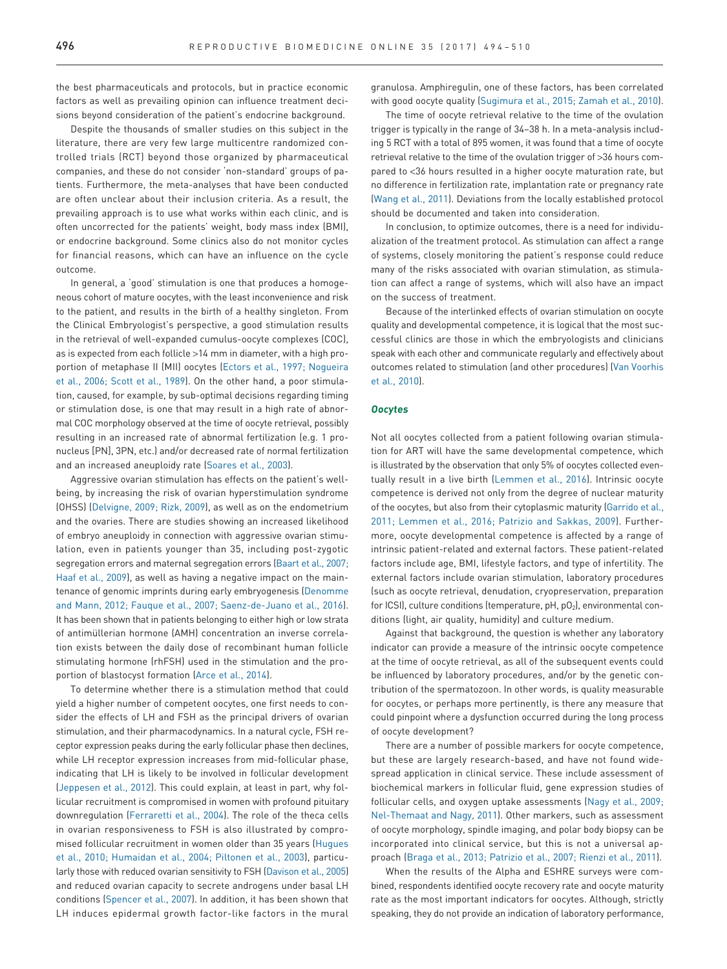the best pharmaceuticals and protocols, but in practice economic factors as well as prevailing opinion can influence treatment decisions beyond consideration of the patient's endocrine background.

Despite the thousands of smaller studies on this subject in the literature, there are very few large multicentre randomized controlled trials (RCT) beyond those organized by pharmaceutical companies, and these do not consider 'non-standard' groups of patients. Furthermore, the meta-analyses that have been conducted are often unclear about their inclusion criteria. As a result, the prevailing approach is to use what works within each clinic, and is often uncorrected for the patients' weight, body mass index (BMI), or endocrine background. Some clinics also do not monitor cycles for financial reasons, which can have an influence on the cycle outcome.

In general, a 'good' stimulation is one that produces a homogeneous cohort of mature oocytes, with the least inconvenience and risk to the patient, and results in the birth of a healthy singleton. From the Clinical Embryologist's perspective, a good stimulation results in the retrieval of well-expanded cumulus-oocyte complexes (COC), as is expected from each follicle >14 mm in diameter, with a high proportion of metaphase II (MII) oocytes [\(Ectors et al., 1997; Nogueira](#page-14-2) [et al., 2006; Scott et al., 1989\)](#page-14-2). On the other hand, a poor stimulation, caused, for example, by sub-optimal decisions regarding timing or stimulation dose, is one that may result in a high rate of abnormal COC morphology observed at the time of oocyte retrieval, possibly resulting in an increased rate of abnormal fertilization (e.g. 1 pronucleus [PN], 3PN, etc.) and/or decreased rate of normal fertilization and an increased aneuploidy rate [\(Soares et al., 2003\)](#page-15-2).

Aggressive ovarian stimulation has effects on the patient's wellbeing, by increasing the risk of ovarian hyperstimulation syndrome (OHSS) [\(Delvigne, 2009; Rizk, 2009\)](#page-13-0), as well as on the endometrium and the ovaries. There are studies showing an increased likelihood of embryo aneuploidy in connection with aggressive ovarian stimulation, even in patients younger than 35, including post-zygotic segregation errors and maternal segregation errors [\(Baart et al., 2007;](#page-13-1) [Haaf et al., 2009\)](#page-13-1), as well as having a negative impact on the maintenance of genomic imprints during early embryogenesis [\(Denomme](#page-13-2) [and Mann, 2012; Fauque et al., 2007; Saenz-de-Juano et al., 2016\)](#page-13-2). It has been shown that in patients belonging to either high or low strata of antimüllerian hormone (AMH) concentration an inverse correlation exists between the daily dose of recombinant human follicle stimulating hormone (rhFSH) used in the stimulation and the proportion of blastocyst formation [\(Arce et al., 2014\)](#page-13-3).

To determine whether there is a stimulation method that could yield a higher number of competent oocytes, one first needs to consider the effects of LH and FSH as the principal drivers of ovarian stimulation, and their pharmacodynamics. In a natural cycle, FSH receptor expression peaks during the early follicular phase then declines, while LH receptor expression increases from mid-follicular phase, indicating that LH is likely to be involved in follicular development [\(Jeppesen et al., 2012\)](#page-14-3). This could explain, at least in part, why follicular recruitment is compromised in women with profound pituitary downregulation [\(Ferraretti et al., 2004\)](#page-14-4). The role of the theca cells in ovarian responsiveness to FSH is also illustrated by compromised follicular recruitment in women older than 35 years [\(Hugues](#page-14-5) [et al., 2010; Humaidan et al., 2004; Piltonen et al., 2003\)](#page-14-5), particularly those with reduced ovarian sensitivity to FSH [\(Davison et al., 2005\)](#page-13-4) and reduced ovarian capacity to secrete androgens under basal LH conditions [\(Spencer et al., 2007\)](#page-15-3). In addition, it has been shown that LH induces epidermal growth factor-like factors in the mural

granulosa. Amphiregulin, one of these factors, has been correlated with good oocyte quality [\(Sugimura et al., 2015; Zamah et al., 2010\)](#page-15-4).

The time of oocyte retrieval relative to the time of the ovulation trigger is typically in the range of 34–38 h. In a meta-analysis including 5 RCT with a total of 895 women, it was found that a time of oocyte retrieval relative to the time of the ovulation trigger of >36 hours compared to <36 hours resulted in a higher oocyte maturation rate, but no difference in fertilization rate, implantation rate or pregnancy rate [\(Wang et al., 2011\)](#page-16-0). Deviations from the locally established protocol should be documented and taken into consideration.

In conclusion, to optimize outcomes, there is a need for individualization of the treatment protocol. As stimulation can affect a range of systems, closely monitoring the patient's response could reduce many of the risks associated with ovarian stimulation, as stimulation can affect a range of systems, which will also have an impact on the success of treatment.

Because of the interlinked effects of ovarian stimulation on oocyte quality and developmental competence, it is logical that the most successful clinics are those in which the embryologists and clinicians speak with each other and communicate regularly and effectively about outcomes related to stimulation (and other procedures) [\(Van Voorhis](#page-15-5) [et al., 2010\)](#page-15-5).

#### **Oocytes**

Not all oocytes collected from a patient following ovarian stimulation for ART will have the same developmental competence, which is illustrated by the observation that only 5% of oocytes collected eventually result in a live birth [\(Lemmen et al., 2016\)](#page-14-6). Intrinsic oocyte competence is derived not only from the degree of nuclear maturity of the oocytes, but also from their cytoplasmic maturity [\(Garrido et al.,](#page-14-7) [2011; Lemmen et al., 2016; Patrizio and Sakkas, 2009\)](#page-14-7). Furthermore, oocyte developmental competence is affected by a range of intrinsic patient-related and external factors. These patient-related factors include age, BMI, lifestyle factors, and type of infertility. The external factors include ovarian stimulation, laboratory procedures (such as oocyte retrieval, denudation, cryopreservation, preparation for ICSI), culture conditions (temperature, pH, pO<sub>2</sub>), environmental conditions (light, air quality, humidity) and culture medium.

Against that background, the question is whether any laboratory indicator can provide a measure of the intrinsic oocyte competence at the time of oocyte retrieval, as all of the subsequent events could be influenced by laboratory procedures, and/or by the genetic contribution of the spermatozoon. In other words, is quality measurable for oocytes, or perhaps more pertinently, is there any measure that could pinpoint where a dysfunction occurred during the long process of oocyte development?

There are a number of possible markers for oocyte competence, but these are largely research-based, and have not found widespread application in clinical service. These include assessment of biochemical markers in follicular fluid, gene expression studies of follicular cells, and oxygen uptake assessments [\(Nagy et al., 2009;](#page-15-6) [Nel-Themaat and Nagy, 2011\)](#page-15-6). Other markers, such as assessment of oocyte morphology, spindle imaging, and polar body biopsy can be incorporated into clinical service, but this is not a universal approach [\(Braga et al., 2013; Patrizio et al., 2007; Rienzi et al., 2011\)](#page-13-5).

When the results of the Alpha and ESHRE surveys were combined, respondents identified oocyte recovery rate and oocyte maturity rate as the most important indicators for oocytes. Although, strictly speaking, they do not provide an indication of laboratory performance,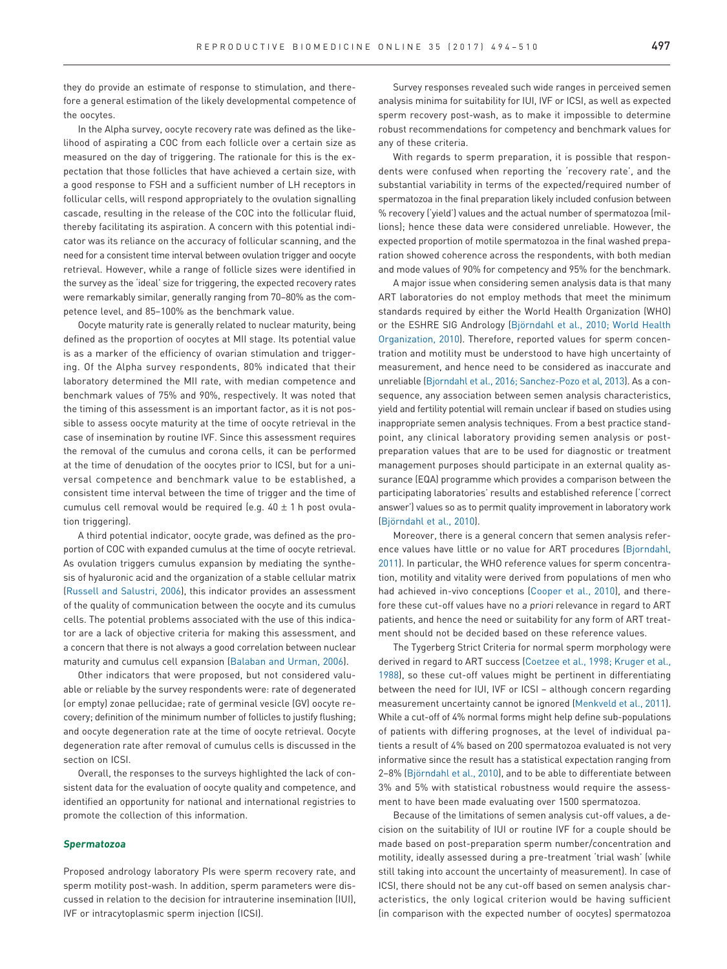they do provide an estimate of response to stimulation, and therefore a general estimation of the likely developmental competence of the oocytes.

In the Alpha survey, oocyte recovery rate was defined as the likelihood of aspirating a COC from each follicle over a certain size as measured on the day of triggering. The rationale for this is the expectation that those follicles that have achieved a certain size, with a good response to FSH and a sufficient number of LH receptors in follicular cells, will respond appropriately to the ovulation signalling cascade, resulting in the release of the COC into the follicular fluid, thereby facilitating its aspiration. A concern with this potential indicator was its reliance on the accuracy of follicular scanning, and the need for a consistent time interval between ovulation trigger and oocyte retrieval. However, while a range of follicle sizes were identified in the survey as the 'ideal' size for triggering, the expected recovery rates were remarkably similar, generally ranging from 70–80% as the competence level, and 85–100% as the benchmark value.

Oocyte maturity rate is generally related to nuclear maturity, being defined as the proportion of oocytes at MII stage. Its potential value is as a marker of the efficiency of ovarian stimulation and triggering. Of the Alpha survey respondents, 80% indicated that their laboratory determined the MII rate, with median competence and benchmark values of 75% and 90%, respectively. It was noted that the timing of this assessment is an important factor, as it is not possible to assess oocyte maturity at the time of oocyte retrieval in the case of insemination by routine IVF. Since this assessment requires the removal of the cumulus and corona cells, it can be performed at the time of denudation of the oocytes prior to ICSI, but for a universal competence and benchmark value to be established, a consistent time interval between the time of trigger and the time of cumulus cell removal would be required (e.g.  $40 \pm 1$  h post ovulation triggering).

A third potential indicator, oocyte grade, was defined as the proportion of COC with expanded cumulus at the time of oocyte retrieval. As ovulation triggers cumulus expansion by mediating the synthesis of hyaluronic acid and the organization of a stable cellular matrix [\(Russell and Salustri, 2006\)](#page-15-7), this indicator provides an assessment of the quality of communication between the oocyte and its cumulus cells. The potential problems associated with the use of this indicator are a lack of objective criteria for making this assessment, and a concern that there is not always a good correlation between nuclear maturity and cumulus cell expansion [\(Balaban and Urman, 2006\)](#page-13-6).

Other indicators that were proposed, but not considered valuable or reliable by the survey respondents were: rate of degenerated (or empty) zonae pellucidae; rate of germinal vesicle (GV) oocyte recovery; definition of the minimum number of follicles to justify flushing; and oocyte degeneration rate at the time of oocyte retrieval. Oocyte degeneration rate after removal of cumulus cells is discussed in the section on ICSI.

Overall, the responses to the surveys highlighted the lack of consistent data for the evaluation of oocyte quality and competence, and identified an opportunity for national and international registries to promote the collection of this information.

#### **Spermatozoa**

Proposed andrology laboratory PIs were sperm recovery rate, and sperm motility post-wash. In addition, sperm parameters were discussed in relation to the decision for intrauterine insemination (IUI), IVF or intracytoplasmic sperm injection (ICSI).

Survey responses revealed such wide ranges in perceived semen analysis minima for suitability for IUI, IVF or ICSI, as well as expected sperm recovery post-wash, as to make it impossible to determine robust recommendations for competency and benchmark values for any of these criteria.

With regards to sperm preparation, it is possible that respondents were confused when reporting the 'recovery rate', and the substantial variability in terms of the expected/required number of spermatozoa in the final preparation likely included confusion between % recovery ('yield') values and the actual number of spermatozoa (millions); hence these data were considered unreliable. However, the expected proportion of motile spermatozoa in the final washed preparation showed coherence across the respondents, with both median and mode values of 90% for competency and 95% for the benchmark.

A major issue when considering semen analysis data is that many ART laboratories do not employ methods that meet the minimum standards required by either the World Health Organization (WHO) or the ESHRE SIG Andrology [\(Björndahl et al., 2010; World Health](#page-13-7) [Organization, 2010\)](#page-13-7). Therefore, reported values for sperm concentration and motility must be understood to have high uncertainty of measurement, and hence need to be considered as inaccurate and unreliable [\(Bjorndahl et al., 2016; Sanchez-Pozo et al, 2013\)](#page-13-8). As a consequence, any association between semen analysis characteristics, yield and fertility potential will remain unclear if based on studies using inappropriate semen analysis techniques. From a best practice standpoint, any clinical laboratory providing semen analysis or postpreparation values that are to be used for diagnostic or treatment management purposes should participate in an external quality assurance (EQA) programme which provides a comparison between the participating laboratories' results and established reference ('correct answer') values so as to permit quality improvement in laboratory work [\(Björndahl et al., 2010\)](#page-13-7).

Moreover, there is a general concern that semen analysis reference values have little or no value for ART procedures [\(Bjorndahl,](#page-13-9) [2011\)](#page-13-9). In particular, the WHO reference values for sperm concentration, motility and vitality were derived from populations of men who had achieved in-vivo conceptions [\(Cooper et al., 2010\)](#page-13-10), and therefore these cut-off values have no <sup>a</sup> priori relevance in regard to ART patients, and hence the need or suitability for any form of ART treatment should not be decided based on these reference values.

The Tygerberg Strict Criteria for normal sperm morphology were derived in regard to ART success [\(Coetzee et al., 1998; Kruger et al.,](#page-13-11) [1988\)](#page-13-11), so these cut-off values might be pertinent in differentiating between the need for IUI, IVF or ICSI – although concern regarding measurement uncertainty cannot be ignored [\(Menkveld et al., 2011\)](#page-14-8). While a cut-off of 4% normal forms might help define sub-populations of patients with differing prognoses, at the level of individual patients a result of 4% based on 200 spermatozoa evaluated is not very informative since the result has a statistical expectation ranging from 2–8% [\(Björndahl et al., 2010\)](#page-13-7), and to be able to differentiate between 3% and 5% with statistical robustness would require the assessment to have been made evaluating over 1500 spermatozoa.

Because of the limitations of semen analysis cut-off values, a decision on the suitability of IUI or routine IVF for a couple should be made based on post-preparation sperm number/concentration and motility, ideally assessed during a pre-treatment 'trial wash' (while still taking into account the uncertainty of measurement). In case of ICSI, there should not be any cut-off based on semen analysis characteristics, the only logical criterion would be having sufficient (in comparison with the expected number of oocytes) spermatozoa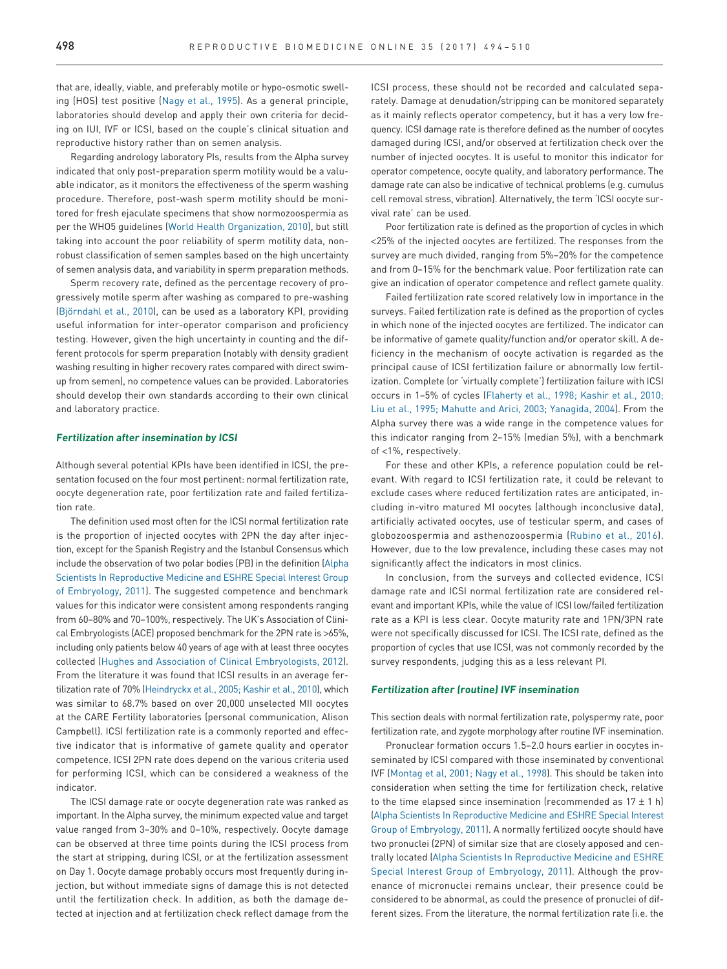that are, ideally, viable, and preferably motile or hypo-osmotic swelling (HOS) test positive [\(Nagy et al., 1995\)](#page-15-8). As a general principle, laboratories should develop and apply their own criteria for deciding on IUI, IVF or ICSI, based on the couple's clinical situation and reproductive history rather than on semen analysis.

Regarding andrology laboratory PIs, results from the Alpha survey indicated that only post-preparation sperm motility would be a valuable indicator, as it monitors the effectiveness of the sperm washing procedure. Therefore, post-wash sperm motility should be monitored for fresh ejaculate specimens that show normozoospermia as per the WHO5 guidelines [\(World Health Organization, 2010\)](#page-16-1), but still taking into account the poor reliability of sperm motility data, nonrobust classification of semen samples based on the high uncertainty of semen analysis data, and variability in sperm preparation methods.

Sperm recovery rate, defined as the percentage recovery of progressively motile sperm after washing as compared to pre-washing [\(Björndahl et al., 2010\)](#page-13-7), can be used as a laboratory KPI, providing useful information for inter-operator comparison and proficiency testing. However, given the high uncertainty in counting and the different protocols for sperm preparation (notably with density gradient washing resulting in higher recovery rates compared with direct swimup from semen), no competence values can be provided. Laboratories should develop their own standards according to their own clinical and laboratory practice.

#### **Fertilization after insemination by ICSI**

Although several potential KPIs have been identified in ICSI, the presentation focused on the four most pertinent: normal fertilization rate, oocyte degeneration rate, poor fertilization rate and failed fertilization rate.

The definition used most often for the ICSI normal fertilization rate is the proportion of injected oocytes with 2PN the day after injection, except for the Spanish Registry and the Istanbul Consensus which include the observation of two polar bodies (PB) in the definition [\(Alpha](#page-13-12) [Scientists In Reproductive Medicine and ESHRE Special Interest Group](#page-13-12) [of Embryology, 2011\)](#page-13-12). The suggested competence and benchmark values for this indicator were consistent among respondents ranging from 60–80% and 70–100%, respectively. The UK's Association of Clinical Embryologists (ACE) proposed benchmark for the 2PN rate is >65%, including only patients below 40 years of age with at least three oocytes collected [\(Hughes and Association of Clinical Embryologists, 2012\)](#page-14-9). From the literature it was found that ICSI results in an average fertilization rate of 70% [\(Heindryckx et al., 2005; Kashir et al., 2010\)](#page-14-10), which was similar to 68.7% based on over 20,000 unselected MII oocytes at the CARE Fertility laboratories (personal communication, Alison Campbell). ICSI fertilization rate is a commonly reported and effective indicator that is informative of gamete quality and operator competence. ICSI 2PN rate does depend on the various criteria used for performing ICSI, which can be considered a weakness of the indicator.

The ICSI damage rate or oocyte degeneration rate was ranked as important. In the Alpha survey, the minimum expected value and target value ranged from 3–30% and 0–10%, respectively. Oocyte damage can be observed at three time points during the ICSI process from the start at stripping, during ICSI, or at the fertilization assessment on Day 1. Oocyte damage probably occurs most frequently during injection, but without immediate signs of damage this is not detected until the fertilization check. In addition, as both the damage detected at injection and at fertilization check reflect damage from the

ICSI process, these should not be recorded and calculated separately. Damage at denudation/stripping can be monitored separately as it mainly reflects operator competency, but it has a very low frequency. ICSI damage rate is therefore defined as the number of oocytes damaged during ICSI, and/or observed at fertilization check over the number of injected oocytes. It is useful to monitor this indicator for operator competence, oocyte quality, and laboratory performance. The damage rate can also be indicative of technical problems (e.g. cumulus cell removal stress, vibration). Alternatively, the term 'ICSI oocyte survival rate' can be used.

Poor fertilization rate is defined as the proportion of cycles in which <25% of the injected oocytes are fertilized. The responses from the survey are much divided, ranging from 5%–20% for the competence and from 0–15% for the benchmark value. Poor fertilization rate can give an indication of operator competence and reflect gamete quality.

Failed fertilization rate scored relatively low in importance in the surveys. Failed fertilization rate is defined as the proportion of cycles in which none of the injected oocytes are fertilized. The indicator can be informative of gamete quality/function and/or operator skill. A deficiency in the mechanism of oocyte activation is regarded as the principal cause of ICSI fertilization failure or abnormally low fertilization. Complete (or 'virtually complete') fertilization failure with ICSI occurs in 1–5% of cycles [\(Flaherty et al., 1998; Kashir et al., 2010;](#page-14-11) [Liu et al., 1995; Mahutte and Arici, 2003; Yanagida, 2004\)](#page-14-11). From the Alpha survey there was a wide range in the competence values for this indicator ranging from 2–15% (median 5%), with a benchmark of <1%, respectively.

For these and other KPIs, a reference population could be relevant. With regard to ICSI fertilization rate, it could be relevant to exclude cases where reduced fertilization rates are anticipated, including in-vitro matured MI oocytes (although inconclusive data), artificially activated oocytes, use of testicular sperm, and cases of globozoospermia and asthenozoospermia [\(Rubino et al., 2016\)](#page-15-9). However, due to the low prevalence, including these cases may not significantly affect the indicators in most clinics.

In conclusion, from the surveys and collected evidence, ICSI damage rate and ICSI normal fertilization rate are considered relevant and important KPIs, while the value of ICSI low/failed fertilization rate as a KPI is less clear. Oocyte maturity rate and 1PN/3PN rate were not specifically discussed for ICSI. The ICSI rate, defined as the proportion of cycles that use ICSI, was not commonly recorded by the survey respondents, judging this as a less relevant PI.

#### **Fertilization after (routine) IVF insemination**

This section deals with normal fertilization rate, polyspermy rate, poor fertilization rate, and zygote morphology after routine IVF insemination.

Pronuclear formation occurs 1.5–2.0 hours earlier in oocytes inseminated by ICSI compared with those inseminated by conventional IVF [\(Montag et al, 2001; Nagy et al., 1998\)](#page-14-12). This should be taken into consideration when setting the time for fertilization check, relative to the time elapsed since insemination (recommended as  $17 \pm 1$  h) [\(Alpha Scientists In Reproductive Medicine and ESHRE Special Interest](#page-13-12) [Group of Embryology, 2011\)](#page-13-12). A normally fertilized oocyte should have two pronuclei (2PN) of similar size that are closely apposed and centrally located [\(Alpha Scientists In Reproductive Medicine and ESHRE](#page-13-12) [Special Interest Group of Embryology, 2011\)](#page-13-12). Although the provenance of micronuclei remains unclear, their presence could be considered to be abnormal, as could the presence of pronuclei of different sizes. From the literature, the normal fertilization rate (i.e. the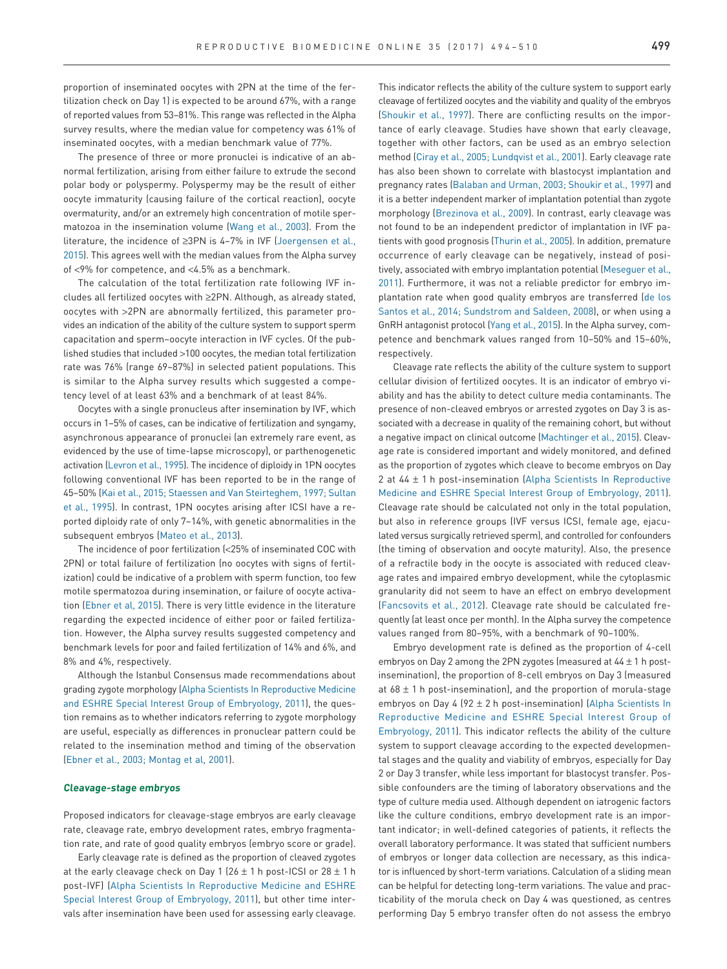proportion of inseminated oocytes with 2PN at the time of the fertilization check on Day 1) is expected to be around 67%, with a range of reported values from 53–81%. This range was reflected in the Alpha survey results, where the median value for competency was 61% of inseminated oocytes, with a median benchmark value of 77%.

The presence of three or more pronuclei is indicative of an abnormal fertilization, arising from either failure to extrude the second polar body or polyspermy. Polyspermy may be the result of either oocyte immaturity (causing failure of the cortical reaction), oocyte overmaturity, and/or an extremely high concentration of motile spermatozoa in the insemination volume [\(Wang et al., 2003\)](#page-16-2). From the literature, the incidence of ≥3PN is 4–7% in IVF [\(Joergensen et al.,](#page-14-13) [2015\)](#page-14-13). This agrees well with the median values from the Alpha survey of <9% for competence, and <4.5% as a benchmark.

The calculation of the total fertilization rate following IVF includes all fertilized oocytes with ≥2PN. Although, as already stated, oocytes with >2PN are abnormally fertilized, this parameter provides an indication of the ability of the culture system to support sperm capacitation and sperm–oocyte interaction in IVF cycles. Of the published studies that included >100 oocytes, the median total fertilization rate was 76% (range 69–87%) in selected patient populations. This is similar to the Alpha survey results which suggested a competency level of at least 63% and a benchmark of at least 84%.

Oocytes with a single pronucleus after insemination by IVF, which occurs in 1–5% of cases, can be indicative of fertilization and syngamy, asynchronous appearance of pronuclei (an extremely rare event, as evidenced by the use of time-lapse microscopy), or parthenogenetic activation [\(Levron et al., 1995\)](#page-14-14). The incidence of diploidy in 1PN oocytes following conventional IVF has been reported to be in the range of 45–50% [\(Kai et al., 2015; Staessen and Van Steirteghem, 1997; Sultan](#page-14-15) [et al., 1995\)](#page-14-15). In contrast, 1PN oocytes arising after ICSI have a reported diploidy rate of only 7–14%, with genetic abnormalities in the subsequent embryos [\(Mateo et al., 2013\)](#page-14-16).

The incidence of poor fertilization (<25% of inseminated COC with 2PN) or total failure of fertilization (no oocytes with signs of fertilization) could be indicative of a problem with sperm function, too few motile spermatozoa during insemination, or failure of oocyte activation [\(Ebner et al, 2015\)](#page-13-13). There is very little evidence in the literature regarding the expected incidence of either poor or failed fertilization. However, the Alpha survey results suggested competency and benchmark levels for poor and failed fertilization of 14% and 6%, and 8% and 4%, respectively.

Although the Istanbul Consensus made recommendations about grading zygote morphology [\(Alpha Scientists In Reproductive Medicine](#page-13-12) [and ESHRE Special Interest Group of Embryology, 2011\)](#page-13-12), the question remains as to whether indicators referring to zygote morphology are useful, especially as differences in pronuclear pattern could be related to the insemination method and timing of the observation [\(Ebner et al., 2003; Montag et al, 2001\)](#page-13-14).

#### **Cleavage-stage embryos**

Proposed indicators for cleavage-stage embryos are early cleavage rate, cleavage rate, embryo development rates, embryo fragmentation rate, and rate of good quality embryos (embryo score or grade).

Early cleavage rate is defined as the proportion of cleaved zygotes at the early cleavage check on Day 1 (26  $\pm$  1 h post-ICSI or 28  $\pm$  1 h post-IVF) [\(Alpha Scientists In Reproductive Medicine and ESHRE](#page-13-12) [Special Interest Group of Embryology, 2011\)](#page-13-12), but other time intervals after insemination have been used for assessing early cleavage.

This indicator reflects the ability of the culture system to support early cleavage of fertilized oocytes and the viability and quality of the embryos [\(Shoukir et al., 1997\)](#page-15-10). There are conflicting results on the importance of early cleavage. Studies have shown that early cleavage, together with other factors, can be used as an embryo selection method [\(Ciray et al., 2005; Lundqvist et al., 2001\)](#page-13-15). Early cleavage rate has also been shown to correlate with blastocyst implantation and pregnancy rates [\(Balaban and Urman, 2003; Shoukir et al., 1997\)](#page-13-16) and it is a better independent marker of implantation potential than zygote morphology [\(Brezinova et al., 2009\)](#page-13-17). In contrast, early cleavage was not found to be an independent predictor of implantation in IVF patients with good prognosis [\(Thurin et al., 2005\)](#page-15-11). In addition, premature occurrence of early cleavage can be negatively, instead of positively, associated with embryo implantation potential [\(Meseguer et al.,](#page-14-17) [2011\)](#page-14-17). Furthermore, it was not a reliable predictor for embryo implantation rate when good quality embryos are transferred [\(de los](#page-13-18) [Santos et al., 2014; Sundstrom and Saldeen, 2008\)](#page-13-18), or when using a GnRH antagonist protocol [\(Yang et al., 2015\)](#page-16-3). In the Alpha survey, competence and benchmark values ranged from 10–50% and 15–60%, respectively.

Cleavage rate reflects the ability of the culture system to support cellular division of fertilized oocytes. It is an indicator of embryo viability and has the ability to detect culture media contaminants. The presence of non-cleaved embryos or arrested zygotes on Day 3 is associated with a decrease in quality of the remaining cohort, but without a negative impact on clinical outcome [\(Machtinger et al., 2015\)](#page-14-18). Cleavage rate is considered important and widely monitored, and defined as the proportion of zygotes which cleave to become embryos on Day 2 at 44 ± 1 h post-insemination [\(Alpha Scientists In Reproductive](#page-13-12) [Medicine and ESHRE Special Interest Group of Embryology, 2011\)](#page-13-12). Cleavage rate should be calculated not only in the total population, but also in reference groups (IVF versus ICSI, female age, ejaculated versus surgically retrieved sperm), and controlled for confounders (the timing of observation and oocyte maturity). Also, the presence of a refractile body in the oocyte is associated with reduced cleavage rates and impaired embryo development, while the cytoplasmic granularity did not seem to have an effect on embryo development [\(Fancsovits et al., 2012\)](#page-14-19). Cleavage rate should be calculated frequently (at least once per month). In the Alpha survey the competence values ranged from 80–95%, with a benchmark of 90–100%.

Embryo development rate is defined as the proportion of 4-cell embryos on Day 2 among the 2PN zygotes (measured at  $44 \pm 1$  h postinsemination), the proportion of 8-cell embryos on Day 3 (measured at  $68 \pm 1$  h post-insemination), and the proportion of morula-stage embryos on Day 4 (92  $\pm$  2 h post-insemination) [\(Alpha Scientists In](#page-13-12) [Reproductive Medicine and ESHRE Special Interest Group of](#page-13-12) [Embryology, 2011\)](#page-13-12). This indicator reflects the ability of the culture system to support cleavage according to the expected developmental stages and the quality and viability of embryos, especially for Day 2 or Day 3 transfer, while less important for blastocyst transfer. Possible confounders are the timing of laboratory observations and the type of culture media used. Although dependent on iatrogenic factors like the culture conditions, embryo development rate is an important indicator; in well-defined categories of patients, it reflects the overall laboratory performance. It was stated that sufficient numbers of embryos or longer data collection are necessary, as this indicator is influenced by short-term variations. Calculation of a sliding mean can be helpful for detecting long-term variations. The value and practicability of the morula check on Day 4 was questioned, as centres performing Day 5 embryo transfer often do not assess the embryo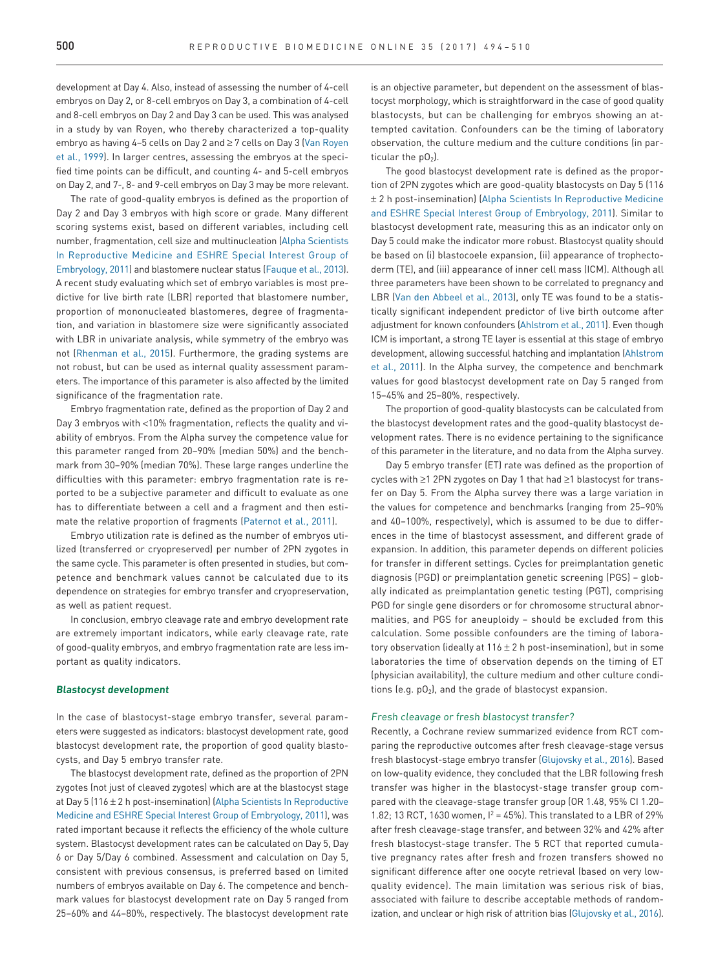development at Day 4. Also, instead of assessing the number of 4-cell embryos on Day 2, or 8-cell embryos on Day 3, a combination of 4-cell and 8-cell embryos on Day 2 and Day 3 can be used. This was analysed in a study by van Royen, who thereby characterized a top-quality embryo as having 4–5 cells on Day 2 and ≥ 7 cells on Day 3 [\(Van Royen](#page-15-12) [et al., 1999\)](#page-15-12). In larger centres, assessing the embryos at the specified time points can be difficult, and counting 4- and 5-cell embryos on Day 2, and 7-, 8- and 9-cell embryos on Day 3 may be more relevant.

The rate of good-quality embryos is defined as the proportion of Day 2 and Day 3 embryos with high score or grade. Many different scoring systems exist, based on different variables, including cell number, fragmentation, cell size and multinucleation [\(Alpha Scientists](#page-13-12) [In Reproductive Medicine and ESHRE Special Interest Group of](#page-13-12) [Embryology, 2011\)](#page-13-12) and blastomere nuclear status [\(Fauque et al., 2013\)](#page-14-20). A recent study evaluating which set of embryo variables is most predictive for live birth rate (LBR) reported that blastomere number, proportion of mononucleated blastomeres, degree of fragmentation, and variation in blastomere size were significantly associated with LBR in univariate analysis, while symmetry of the embryo was not [\(Rhenman et al., 2015\)](#page-15-13). Furthermore, the grading systems are not robust, but can be used as internal quality assessment parameters. The importance of this parameter is also affected by the limited significance of the fragmentation rate.

Embryo fragmentation rate, defined as the proportion of Day 2 and Day 3 embryos with <10% fragmentation, reflects the quality and viability of embryos. From the Alpha survey the competence value for this parameter ranged from 20–90% (median 50%) and the benchmark from 30–90% (median 70%). These large ranges underline the difficulties with this parameter: embryo fragmentation rate is reported to be a subjective parameter and difficult to evaluate as one has to differentiate between a cell and a fragment and then estimate the relative proportion of fragments [\(Paternot et al., 2011\)](#page-15-14).

Embryo utilization rate is defined as the number of embryos utilized (transferred or cryopreserved) per number of 2PN zygotes in the same cycle. This parameter is often presented in studies, but competence and benchmark values cannot be calculated due to its dependence on strategies for embryo transfer and cryopreservation, as well as patient request.

In conclusion, embryo cleavage rate and embryo development rate are extremely important indicators, while early cleavage rate, rate of good-quality embryos, and embryo fragmentation rate are less important as quality indicators.

#### **Blastocyst development**

In the case of blastocyst-stage embryo transfer, several parameters were suggested as indicators: blastocyst development rate, good blastocyst development rate, the proportion of good quality blastocysts, and Day 5 embryo transfer rate.

The blastocyst development rate, defined as the proportion of 2PN zygotes (not just of cleaved zygotes) which are at the blastocyst stage at Day 5 (116 ± 2 h post-insemination) [\(Alpha Scientists In Reproductive](#page-13-12) [Medicine and ESHRE Special Interest Group of Embryology, 2011\)](#page-13-12), was rated important because it reflects the efficiency of the whole culture system. Blastocyst development rates can be calculated on Day 5, Day 6 or Day 5/Day 6 combined. Assessment and calculation on Day 5, consistent with previous consensus, is preferred based on limited numbers of embryos available on Day 6. The competence and benchmark values for blastocyst development rate on Day 5 ranged from 25–60% and 44–80%, respectively. The blastocyst development rate

is an objective parameter, but dependent on the assessment of blastocyst morphology, which is straightforward in the case of good quality blastocysts, but can be challenging for embryos showing an attempted cavitation. Confounders can be the timing of laboratory observation, the culture medium and the culture conditions (in particular the  $pO<sub>2</sub>$ ).

The good blastocyst development rate is defined as the proportion of 2PN zygotes which are good-quality blastocysts on Day 5 (116 ± 2 h post-insemination) [\(Alpha Scientists In Reproductive Medicine](#page-13-12) [and ESHRE Special Interest Group of Embryology, 2011\)](#page-13-12). Similar to blastocyst development rate, measuring this as an indicator only on Day 5 could make the indicator more robust. Blastocyst quality should be based on (i) blastocoele expansion, (ii) appearance of trophectoderm (TE), and (iii) appearance of inner cell mass (ICM). Although all three parameters have been shown to be correlated to pregnancy and LBR [\(Van den Abbeel et al., 2013\)](#page-15-15), only TE was found to be a statistically significant independent predictor of live birth outcome after adjustment for known confounders [\(Ahlstrom et al., 2011\)](#page-13-19). Even though ICM is important, a strong TE layer is essential at this stage of embryo development, allowing successful hatching and implantation [\(Ahlstrom](#page-13-19) [et al., 2011\)](#page-13-19). In the Alpha survey, the competence and benchmark values for good blastocyst development rate on Day 5 ranged from 15–45% and 25–80%, respectively.

The proportion of good-quality blastocysts can be calculated from the blastocyst development rates and the good-quality blastocyst development rates. There is no evidence pertaining to the significance of this parameter in the literature, and no data from the Alpha survey.

Day 5 embryo transfer (ET) rate was defined as the proportion of cycles with ≥1 2PN zygotes on Day 1 that had ≥1 blastocyst for transfer on Day 5. From the Alpha survey there was a large variation in the values for competence and benchmarks (ranging from 25–90% and 40–100%, respectively), which is assumed to be due to differences in the time of blastocyst assessment, and different grade of expansion. In addition, this parameter depends on different policies for transfer in different settings. Cycles for preimplantation genetic diagnosis (PGD) or preimplantation genetic screening (PGS) – globally indicated as preimplantation genetic testing (PGT), comprising PGD for single gene disorders or for chromosome structural abnormalities, and PGS for aneuploidy – should be excluded from this calculation. Some possible confounders are the timing of laboratory observation (ideally at  $116 \pm 2$  h post-insemination), but in some laboratories the time of observation depends on the timing of ET (physician availability), the culture medium and other culture conditions (e.g.  $pO_2$ ), and the grade of blastocyst expansion.

#### Fresh cleavage or fresh blastocyst transfer?

Recently, a Cochrane review summarized evidence from RCT comparing the reproductive outcomes after fresh cleavage-stage versus fresh blastocyst-stage embryo transfer [\(Glujovsky et al., 2016\)](#page-14-21). Based on low-quality evidence, they concluded that the LBR following fresh transfer was higher in the blastocyst-stage transfer group compared with the cleavage-stage transfer group (OR 1.48, 95% CI 1.20– 1.82; 13 RCT, 1630 women,  $I^2 = 45\%$ ). This translated to a LBR of 29% after fresh cleavage-stage transfer, and between 32% and 42% after fresh blastocyst-stage transfer. The 5 RCT that reported cumulative pregnancy rates after fresh and frozen transfers showed no significant difference after one oocyte retrieval (based on very lowquality evidence). The main limitation was serious risk of bias, associated with failure to describe acceptable methods of randomization, and unclear or high risk of attrition bias [\(Glujovsky et al., 2016\)](#page-14-21).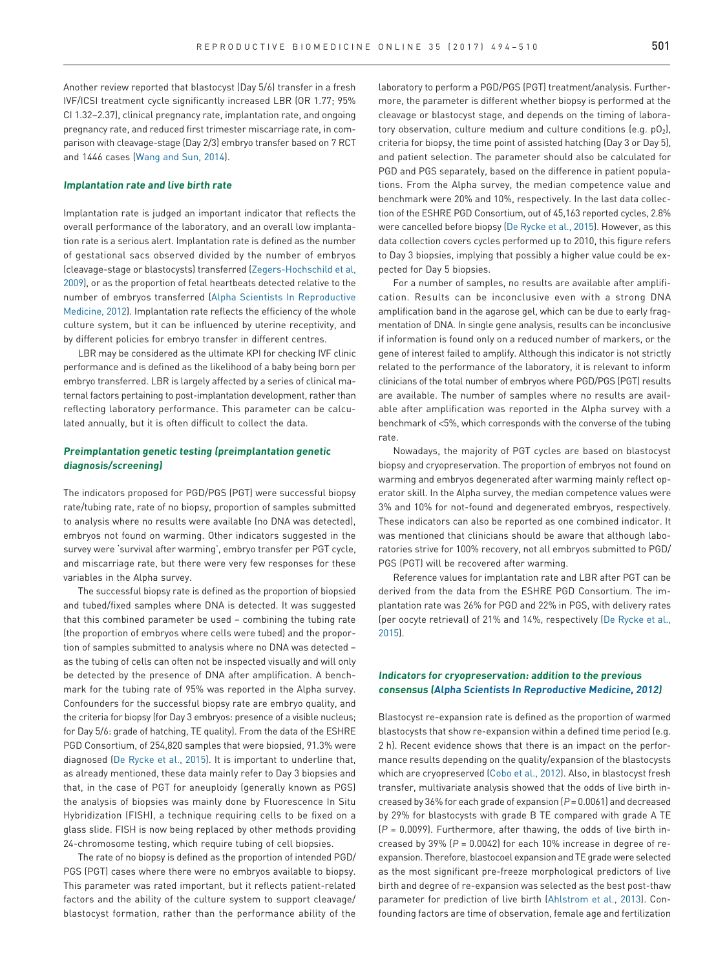Another review reported that blastocyst (Day 5/6) transfer in a fresh IVF/ICSI treatment cycle significantly increased LBR (OR 1.77; 95% CI 1.32–2.37), clinical pregnancy rate, implantation rate, and ongoing pregnancy rate, and reduced first trimester miscarriage rate, in comparison with cleavage-stage (Day 2/3) embryo transfer based on 7 RCT and 1446 cases [\(Wang and Sun, 2014\)](#page-15-16).

#### **Implantation rate and live birth rate**

Implantation rate is judged an important indicator that reflects the overall performance of the laboratory, and an overall low implantation rate is a serious alert. Implantation rate is defined as the number of gestational sacs observed divided by the number of embryos (cleavage-stage or blastocysts) transferred [\(Zegers-Hochschild et al,](#page-16-4) [2009\)](#page-16-4), or as the proportion of fetal heartbeats detected relative to the number of embryos transferred [\(Alpha Scientists In Reproductive](#page-13-20) [Medicine, 2012\)](#page-13-20). Implantation rate reflects the efficiency of the whole culture system, but it can be influenced by uterine receptivity, and by different policies for embryo transfer in different centres.

LBR may be considered as the ultimate KPI for checking IVF clinic performance and is defined as the likelihood of a baby being born per embryo transferred. LBR is largely affected by a series of clinical maternal factors pertaining to post-implantation development, rather than reflecting laboratory performance. This parameter can be calculated annually, but it is often difficult to collect the data.

# **Preimplantation genetic testing (preimplantation genetic diagnosis/screening)**

The indicators proposed for PGD/PGS (PGT) were successful biopsy rate/tubing rate, rate of no biopsy, proportion of samples submitted to analysis where no results were available (no DNA was detected), embryos not found on warming. Other indicators suggested in the survey were 'survival after warming', embryo transfer per PGT cycle, and miscarriage rate, but there were very few responses for these variables in the Alpha survey.

The successful biopsy rate is defined as the proportion of biopsied and tubed/fixed samples where DNA is detected. It was suggested that this combined parameter be used – combining the tubing rate (the proportion of embryos where cells were tubed) and the proportion of samples submitted to analysis where no DNA was detected – as the tubing of cells can often not be inspected visually and will only be detected by the presence of DNA after amplification. A benchmark for the tubing rate of 95% was reported in the Alpha survey. Confounders for the successful biopsy rate are embryo quality, and the criteria for biopsy (for Day 3 embryos: presence of a visible nucleus; for Day 5/6: grade of hatching, TE quality). From the data of the ESHRE PGD Consortium, of 254,820 samples that were biopsied, 91.3% were diagnosed [\(De Rycke et al., 2015\)](#page-13-21). It is important to underline that, as already mentioned, these data mainly refer to Day 3 biopsies and that, in the case of PGT for aneuploidy (generally known as PGS) the analysis of biopsies was mainly done by Fluorescence In Situ Hybridization (FISH), a technique requiring cells to be fixed on a glass slide. FISH is now being replaced by other methods providing 24-chromosome testing, which require tubing of cell biopsies.

The rate of no biopsy is defined as the proportion of intended PGD/ PGS (PGT) cases where there were no embryos available to biopsy. This parameter was rated important, but it reflects patient-related factors and the ability of the culture system to support cleavage/ blastocyst formation, rather than the performance ability of the

laboratory to perform a PGD/PGS (PGT) treatment/analysis. Furthermore, the parameter is different whether biopsy is performed at the cleavage or blastocyst stage, and depends on the timing of laboratory observation, culture medium and culture conditions (e.g.  $pQ_2$ ), criteria for biopsy, the time point of assisted hatching (Day 3 or Day 5), and patient selection. The parameter should also be calculated for PGD and PGS separately, based on the difference in patient populations. From the Alpha survey, the median competence value and benchmark were 20% and 10%, respectively. In the last data collection of the ESHRE PGD Consortium, out of 45,163 reported cycles, 2.8% were cancelled before biopsy [\(De Rycke et al., 2015\)](#page-13-21). However, as this data collection covers cycles performed up to 2010, this figure refers to Day 3 biopsies, implying that possibly a higher value could be expected for Day 5 biopsies.

For a number of samples, no results are available after amplification. Results can be inconclusive even with a strong DNA amplification band in the agarose gel, which can be due to early fragmentation of DNA. In single gene analysis, results can be inconclusive if information is found only on a reduced number of markers, or the gene of interest failed to amplify. Although this indicator is not strictly related to the performance of the laboratory, it is relevant to inform clinicians of the total number of embryos where PGD/PGS (PGT) results are available. The number of samples where no results are available after amplification was reported in the Alpha survey with a benchmark of <5%, which corresponds with the converse of the tubing rate.

Nowadays, the majority of PGT cycles are based on blastocyst biopsy and cryopreservation. The proportion of embryos not found on warming and embryos degenerated after warming mainly reflect operator skill. In the Alpha survey, the median competence values were 3% and 10% for not-found and degenerated embryos, respectively. These indicators can also be reported as one combined indicator. It was mentioned that clinicians should be aware that although laboratories strive for 100% recovery, not all embryos submitted to PGD/ PGS (PGT) will be recovered after warming.

Reference values for implantation rate and LBR after PGT can be derived from the data from the ESHRE PGD Consortium. The implantation rate was 26% for PGD and 22% in PGS, with delivery rates (per oocyte retrieval) of 21% and 14%, respectively [\(De Rycke et al.,](#page-13-21) [2015\)](#page-13-21).

# **Indicators for cryopreservation: addition to the previous consensus (Alpha Scientists In [Reproductive](#page-13-20) Medicine, 2012)**

Blastocyst re-expansion rate is defined as the proportion of warmed blastocysts that show re-expansion within a defined time period (e.g. 2 h). Recent evidence shows that there is an impact on the performance results depending on the quality/expansion of the blastocysts which are cryopreserved [\(Cobo et al., 2012\)](#page-13-22). Also, in blastocyst fresh transfer, multivariate analysis showed that the odds of live birth increased by 36% for each grade of expansion  $(P = 0.0061)$  and decreased by 29% for blastocysts with grade B TE compared with grade A TE  $(P = 0.0099)$ . Furthermore, after thawing, the odds of live birth increased by  $39\%$   $[P = 0.0042]$  for each 10% increase in degree of reexpansion. Therefore, blastocoel expansion and TE grade were selected as the most significant pre-freeze morphological predictors of live birth and degree of re-expansion was selected as the best post-thaw parameter for prediction of live birth [\(Ahlstrom et al., 2013\)](#page-13-23). Confounding factors are time of observation, female age and fertilization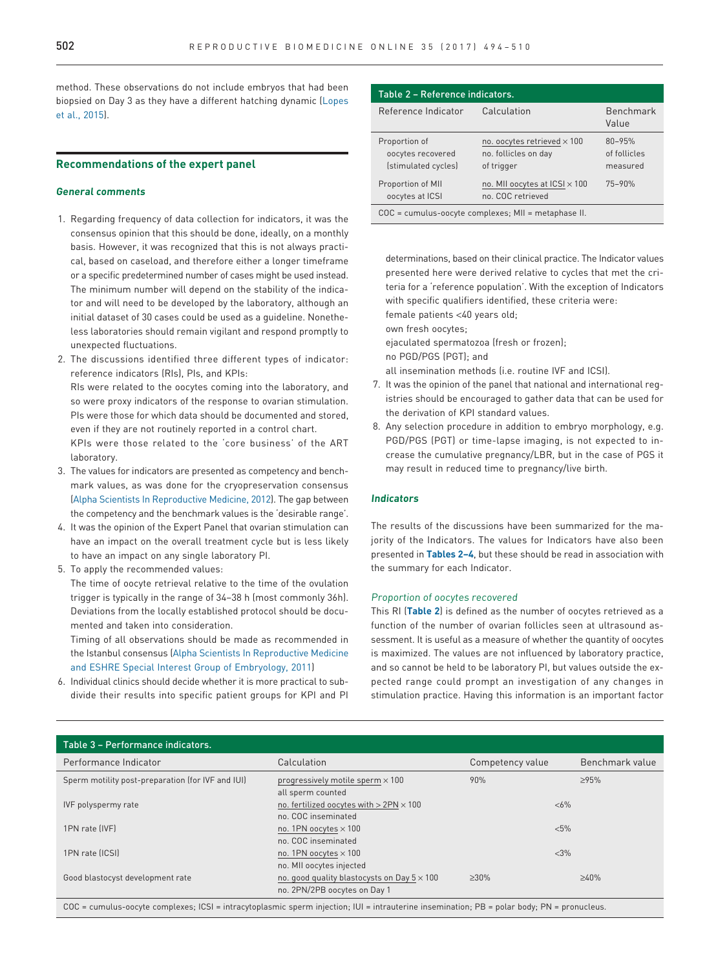<span id="page-8-0"></span>method. These observations do not include embryos that had been biopsied on Day 3 as they have a different hatching dynamic [\(Lopes](#page-14-22) [et al., 2015\)](#page-14-22).

# **Recommendations of the expert panel**

# **General comments**

- 1. Regarding frequency of data collection for indicators, it was the consensus opinion that this should be done, ideally, on a monthly basis. However, it was recognized that this is not always practical, based on caseload, and therefore either a longer timeframe or a specific predetermined number of cases might be used instead. The minimum number will depend on the stability of the indicator and will need to be developed by the laboratory, although an initial dataset of 30 cases could be used as a guideline. Nonetheless laboratories should remain vigilant and respond promptly to unexpected fluctuations.
- 2. The discussions identified three different types of indicator: reference indicators (RIs), PIs, and KPIs:

RIs were related to the oocytes coming into the laboratory, and so were proxy indicators of the response to ovarian stimulation. PIs were those for which data should be documented and stored, even if they are not routinely reported in a control chart. KPIs were those related to the 'core business' of the ART laboratory.

- 3. The values for indicators are presented as competency and benchmark values, as was done for the cryopreservation consensus [\(Alpha Scientists In Reproductive Medicine, 2012\)](#page-13-20). The gap between the competency and the benchmark values is the 'desirable range'.
- 4. It was the opinion of the Expert Panel that ovarian stimulation can have an impact on the overall treatment cycle but is less likely to have an impact on any single laboratory PI.
- 5. To apply the recommended values:

The time of oocyte retrieval relative to the time of the ovulation trigger is typically in the range of 34–38 h (most commonly 36h). Deviations from the locally established protocol should be documented and taken into consideration.

Timing of all observations should be made as recommended in the Istanbul consensus [\(Alpha Scientists In Reproductive Medicine](#page-13-12) [and ESHRE Special Interest Group of Embryology, 2011\)](#page-13-12)

6. Individual clinics should decide whether it is more practical to subdivide their results into specific patient groups for KPI and PI

| Table 2 - Reference indicators.                           |                                                                          |                                        |  |  |  |
|-----------------------------------------------------------|--------------------------------------------------------------------------|----------------------------------------|--|--|--|
| Reference Indicator                                       | Calculation                                                              | Benchmark<br>Value                     |  |  |  |
| Proportion of<br>oocytes recovered<br>(stimulated cycles) | no. oocytes retrieved $\times$ 100<br>no. follicles on day<br>of trigger | $80 - 95%$<br>of follicles<br>measured |  |  |  |
| Proportion of MII<br>oocytes at ICSI                      | no. MII oocytes at $ CS  \times 100$<br>no. COC retrieved                | $75 - 90%$                             |  |  |  |
| COC = cumulus-oocyte complexes; MII = metaphase II.       |                                                                          |                                        |  |  |  |

determinations, based on their clinical practice. The Indicator values presented here were derived relative to cycles that met the criteria for a 'reference population'. With the exception of Indicators with specific qualifiers identified, these criteria were: female patients <40 years old;

own fresh oocytes;

ejaculated spermatozoa (fresh or frozen); no PGD/PGS (PGT); and

all insemination methods (i.e. routine IVF and ICSI).

- 7. It was the opinion of the panel that national and international registries should be encouraged to gather data that can be used for the derivation of KPI standard values.
- 8. Any selection procedure in addition to embryo morphology, e.g. PGD/PGS (PGT) or time-lapse imaging, is not expected to increase the cumulative pregnancy/LBR, but in the case of PGS it may result in reduced time to pregnancy/live birth.

#### **Indicators**

The results of the discussions have been summarized for the majority of the Indicators. The values for Indicators have also been presented in **Tables 2–4**, but these should be read in association with the summary for each Indicator.

#### Proportion of oocytes recovered

This RI (**Table 2**) is defined as the number of oocytes retrieved as a function of the number of ovarian follicles seen at ultrasound assessment. It is useful as a measure of whether the quantity of oocytes is maximized. The values are not influenced by laboratory practice, and so cannot be held to be laboratory PI, but values outside the expected range could prompt an investigation of any changes in stimulation practice. Having this information is an important factor

| Table 3 – Performance indicators.                                                                                                           |                                                    |                  |                 |  |
|---------------------------------------------------------------------------------------------------------------------------------------------|----------------------------------------------------|------------------|-----------------|--|
| Performance Indicator                                                                                                                       | Calculation                                        | Competency value | Benchmark value |  |
| Sperm motility post-preparation (for IVF and IUI)                                                                                           | progressively motile sperm $\times$ 100            | 90%              | $\geq 95\%$     |  |
|                                                                                                                                             | all sperm counted                                  |                  |                 |  |
| IVF polyspermy rate                                                                                                                         | no. fertilized oocytes with $>$ 2PN $\times$ 100   | $<6\%$           |                 |  |
|                                                                                                                                             | no. COC inseminated                                |                  |                 |  |
| 1PN rate (IVF)                                                                                                                              | no. 1PN oocytes $\times$ 100                       | $< 5\%$          |                 |  |
|                                                                                                                                             | no. COC inseminated                                |                  |                 |  |
| 1PN rate (ICSI)                                                                                                                             | no. 1PN oocytes $\times$ 100                       | $<$ 3%           |                 |  |
|                                                                                                                                             | no. MII oocytes injected                           |                  |                 |  |
| Good blastocyst development rate                                                                                                            | no. good quality blastocysts on Day $5 \times 100$ | >30%             | $\geq 40\%$     |  |
|                                                                                                                                             | no. 2PN/2PB oocytes on Day 1                       |                  |                 |  |
| COC = cumulus-oocyte complexes; ICSI = intracytoplasmic sperm injection; IUI = intrauterine insemination; PB = polar body; PN = pronucleus. |                                                    |                  |                 |  |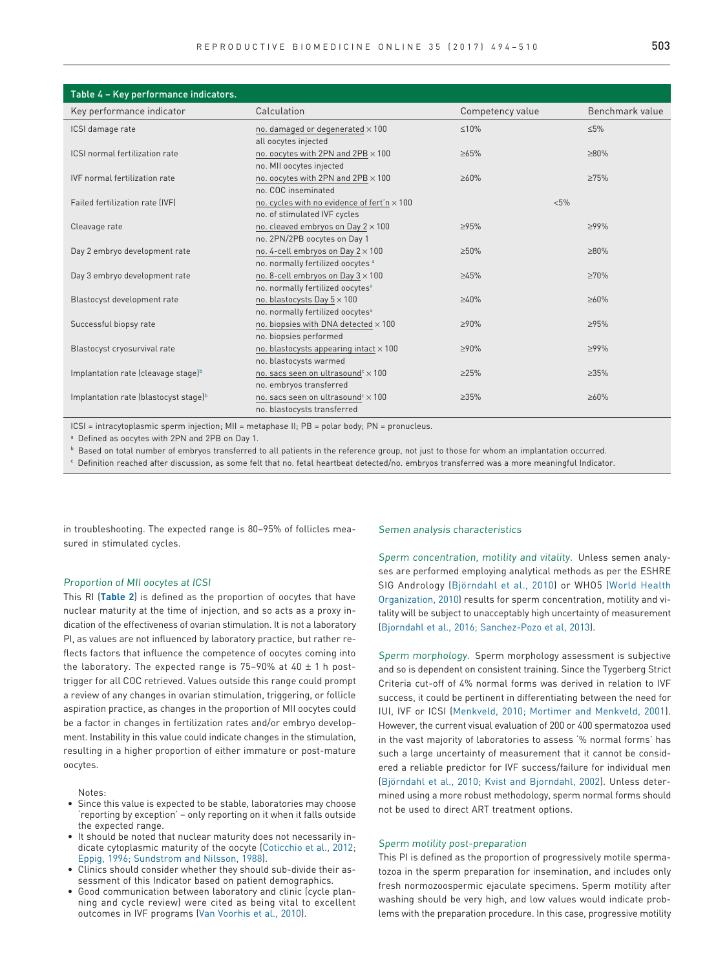<span id="page-9-3"></span>

| Table 4 - Key performance indicators.             |                                                    |                  |                 |  |  |  |
|---------------------------------------------------|----------------------------------------------------|------------------|-----------------|--|--|--|
| Key performance indicator                         | Calculation                                        | Competency value | Benchmark value |  |  |  |
| ICSI damage rate                                  | no. damaged or degenerated $\times$ 100            | $\leq 10\%$      | $< 5\%$         |  |  |  |
|                                                   | all oocytes injected                               |                  |                 |  |  |  |
| ICSI normal fertilization rate                    | no. oocytes with 2PN and $2PB \times 100$          | $\geq 65\%$      | $\geq 80\%$     |  |  |  |
|                                                   | no. MII oocytes injected                           |                  |                 |  |  |  |
| IVF normal fertilization rate                     | no. oocytes with 2PN and 2PB x 100                 | $\geq 60\%$      | $\geq 75\%$     |  |  |  |
|                                                   | no. COC inseminated                                |                  |                 |  |  |  |
| Failed fertilization rate (IVF)                   | no. cycles with no evidence of fert'n $\times$ 100 | $< 5\%$          |                 |  |  |  |
|                                                   | no. of stimulated IVF cycles                       |                  |                 |  |  |  |
| Cleavage rate                                     | no. cleaved embryos on Day $2 \times 100$          | $\geq 95\%$      | $\geq 99\%$     |  |  |  |
|                                                   | no. 2PN/2PB oocytes on Day 1                       |                  |                 |  |  |  |
| Day 2 embryo development rate                     | no. 4-cell embryos on Day $2 \times 100$           | $\geq 50\%$      | $\geq 80\%$     |  |  |  |
|                                                   | no. normally fertilized oocytes <sup>a</sup>       |                  |                 |  |  |  |
| Day 3 embryo development rate                     | no. 8-cell embryos on Day $3 \times 100$           | >45%             | >70%            |  |  |  |
|                                                   | no. normally fertilized oocytes <sup>a</sup>       |                  |                 |  |  |  |
| Blastocyst development rate                       | no. blastocysts Day $5 \times 100$                 | $\geq 40\%$      | $\geq 60\%$     |  |  |  |
|                                                   | no. normally fertilized oocytes <sup>a</sup>       |                  |                 |  |  |  |
| Successful biopsy rate                            | no. biopsies with DNA detected $\times$ 100        | $\geq 90\%$      | $\geq 95\%$     |  |  |  |
|                                                   | no. biopsies performed                             |                  |                 |  |  |  |
| Blastocyst cryosurvival rate                      | no. blastocysts appearing intact $\times$ 100      | $\geq 90\%$      | $\geq$ 99%      |  |  |  |
|                                                   | no. blastocysts warmed                             |                  |                 |  |  |  |
| Implantation rate (cleavage stage) <sup>b</sup>   | no. sacs seen on ultrasound <sup>c</sup> × 100     | $\geq$ 25%       | $\geq 35\%$     |  |  |  |
|                                                   | no. embryos transferred                            |                  |                 |  |  |  |
| Implantation rate (blastocyst stage) <sup>b</sup> | no. sacs seen on ultrasound <sup>c</sup> × 100     | $\geq 35\%$      | $\geq 60\%$     |  |  |  |
|                                                   | no. blastocysts transferred                        |                  |                 |  |  |  |

ICSI = intracytoplasmic sperm injection; MII = metaphase II; PB = polar body; PN = pronucleus.

<span id="page-9-0"></span><sup>a</sup> Defined as oocytes with 2PN and 2PB on Day 1.

<span id="page-9-1"></span>**b** Based on total number of embryos transferred to all patients in the reference group, not just to those for whom an implantation occurred.

<span id="page-9-2"></span><sup>c</sup> Definition reached after discussion, as some felt that no. fetal heartbeat detected/no. embryos transferred was a more meaningful Indicator.

in troubleshooting. The expected range is 80–95% of follicles measured in stimulated cycles.

#### Proportion of MII oocytes at ICSI

This RI (**[Table 2](#page-8-0)**) is defined as the proportion of oocytes that have nuclear maturity at the time of injection, and so acts as a proxy indication of the effectiveness of ovarian stimulation. It is not a laboratory PI, as values are not influenced by laboratory practice, but rather reflects factors that influence the competence of oocytes coming into the laboratory. The expected range is 75-90% at  $40 \pm 1$  h posttrigger for all COC retrieved. Values outside this range could prompt a review of any changes in ovarian stimulation, triggering, or follicle aspiration practice, as changes in the proportion of MII oocytes could be a factor in changes in fertilization rates and/or embryo development. Instability in this value could indicate changes in the stimulation, resulting in a higher proportion of either immature or post-mature oocytes.

Notes:

- Since this value is expected to be stable, laboratories may choose 'reporting by exception' – only reporting on it when it falls outside the expected range.
- It should be noted that nuclear maturity does not necessarily indicate cytoplasmic maturity of the oocyte [\(Coticchio et al., 2012;](#page-13-24) [Eppig, 1996; Sundstrom and Nilsson, 1988\)](#page-13-24).
- Clinics should consider whether they should sub-divide their assessment of this Indicator based on patient demographics.
- Good communication between laboratory and clinic (cycle planning and cycle review) were cited as being vital to excellent outcomes in IVF programs [\(Van Voorhis et al., 2010\)](#page-15-5).

#### Semen analysis characteristics

Sperm concentration, motility and vitality. Unless semen analyses are performed employing analytical methods as per the ESHRE SIG Andrology [\(Björndahl et al., 2010\)](#page-13-7) or WHO5 [\(World Health](#page-16-1) [Organization, 2010\)](#page-16-1) results for sperm concentration, motility and vitality will be subject to unacceptably high uncertainty of measurement [\(Bjorndahl et al., 2016; Sanchez-Pozo et al, 2013\)](#page-13-8).

Sperm morphology. Sperm morphology assessment is subjective and so is dependent on consistent training. Since the Tygerberg Strict Criteria cut-off of 4% normal forms was derived in relation to IVF success, it could be pertinent in differentiating between the need for IUI, IVF or ICSI [\(Menkveld, 2010; Mortimer and Menkveld, 2001\)](#page-14-23). However, the current visual evaluation of 200 or 400 spermatozoa used in the vast majority of laboratories to assess '% normal forms' has such a large uncertainty of measurement that it cannot be considered a reliable predictor for IVF success/failure for individual men [\(Björndahl et al., 2010; Kvist and Bjorndahl, 2002\)](#page-13-7). Unless determined using a more robust methodology, sperm normal forms should not be used to direct ART treatment options.

#### Sperm motility post-preparation

This PI is defined as the proportion of progressively motile spermatozoa in the sperm preparation for insemination, and includes only fresh normozoospermic ejaculate specimens. Sperm motility after washing should be very high, and low values would indicate problems with the preparation procedure. In this case, progressive motility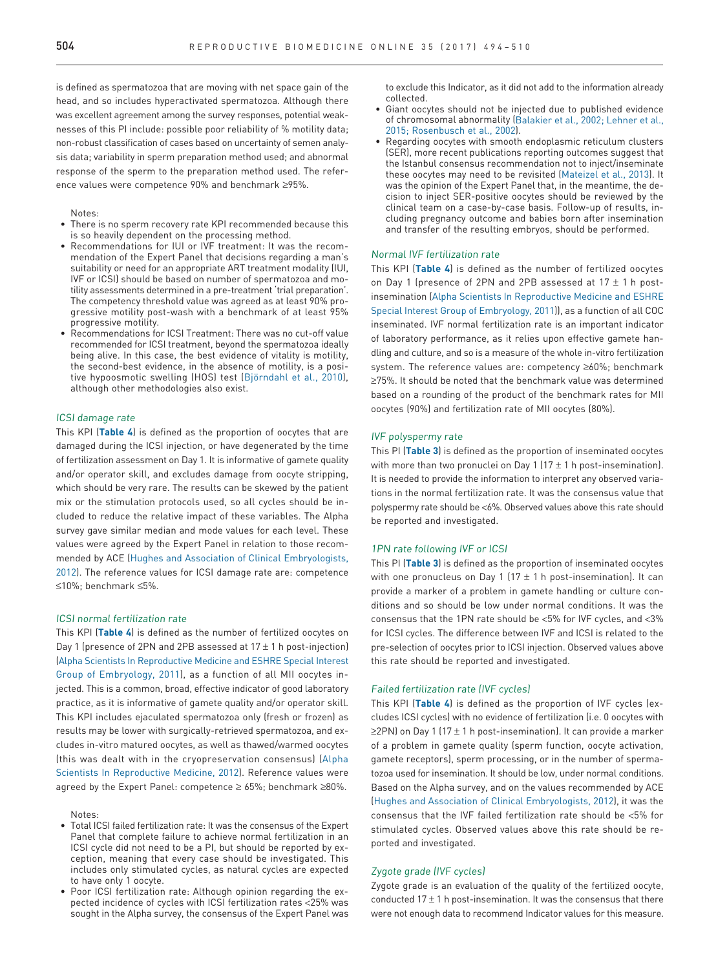is defined as spermatozoa that are moving with net space gain of the head, and so includes hyperactivated spermatozoa. Although there was excellent agreement among the survey responses, potential weaknesses of this PI include: possible poor reliability of % motility data; non-robust classification of cases based on uncertainty of semen analysis data; variability in sperm preparation method used; and abnormal response of the sperm to the preparation method used. The reference values were competence 90% and benchmark ≥95%.

#### Notes:

- There is no sperm recovery rate KPI recommended because this is so heavily dependent on the processing method.
- Recommendations for IUI or IVF treatment: It was the recommendation of the Expert Panel that decisions regarding a man's suitability or need for an appropriate ART treatment modality (IUI, IVF or ICSI) should be based on number of spermatozoa and motility assessments determined in a pre-treatment 'trial preparation'. The competency threshold value was agreed as at least 90% progressive motility post-wash with a benchmark of at least 95% progressive motility.
- Recommendations for ICSI Treatment: There was no cut-off value recommended for ICSI treatment, beyond the spermatozoa ideally being alive. In this case, the best evidence of vitality is motility. the second-best evidence, in the absence of motility, is a positive hypoosmotic swelling (HOS) test [\(Björndahl et al., 2010\)](#page-13-7), although other methodologies also exist.

#### ICSI damage rate

This KPI (**[Table 4](#page-9-3)**) is defined as the proportion of oocytes that are damaged during the ICSI injection, or have degenerated by the time of fertilization assessment on Day 1. It is informative of gamete quality and/or operator skill, and excludes damage from oocyte stripping, which should be very rare. The results can be skewed by the patient mix or the stimulation protocols used, so all cycles should be included to reduce the relative impact of these variables. The Alpha survey gave similar median and mode values for each level. These values were agreed by the Expert Panel in relation to those recommended by ACE [\(Hughes and Association of Clinical Embryologists,](#page-14-9) [2012\)](#page-14-9). The reference values for ICSI damage rate are: competence ≤10%; benchmark ≤5%.

#### ICSI normal fertilization rate

This KPI (**[Table 4](#page-9-3)**) is defined as the number of fertilized oocytes on Day 1 (presence of 2PN and 2PB assessed at  $17 \pm 1$  h post-injection) [\(Alpha Scientists In Reproductive Medicine and ESHRE Special Interest](#page-13-12) [Group of Embryology, 2011\)](#page-13-12), as a function of all MII oocytes injected. This is a common, broad, effective indicator of good laboratory practice, as it is informative of gamete quality and/or operator skill. This KPI includes ejaculated spermatozoa only (fresh or frozen) as results may be lower with surgically-retrieved spermatozoa, and excludes in-vitro matured oocytes, as well as thawed/warmed oocytes (this was dealt with in the cryopreservation consensus) [\(Alpha](#page-13-20) [Scientists In Reproductive Medicine, 2012\)](#page-13-20). Reference values were agreed by the Expert Panel: competence ≥ 65%; benchmark ≥80%.

Notes:

- Total ICSI failed fertilization rate: It was the consensus of the Expert Panel that complete failure to achieve normal fertilization in an ICSI cycle did not need to be a PI, but should be reported by exception, meaning that every case should be investigated. This includes only stimulated cycles, as natural cycles are expected to have only 1 oocyte.
- Poor ICSI fertilization rate: Although opinion regarding the expected incidence of cycles with ICSI fertilization rates <25% was sought in the Alpha survey, the consensus of the Expert Panel was

to exclude this Indicator, as it did not add to the information already collected.

- Giant oocytes should not be injected due to published evidence of chromosomal abnormality [\(Balakier et al., 2002; Lehner et al.,](#page-13-25) [2015; Rosenbusch et al., 2002\)](#page-13-25).
- Regarding oocytes with smooth endoplasmic reticulum clusters (SER), more recent publications reporting outcomes suggest that the Istanbul consensus recommendation not to inject/inseminate these oocytes may need to be revisited [\(Mateizel et al., 2013\)](#page-14-24). It was the opinion of the Expert Panel that, in the meantime, the decision to inject SER-positive oocytes should be reviewed by the clinical team on a case-by-case basis. Follow-up of results, including pregnancy outcome and babies born after insemination and transfer of the resulting embryos, should be performed.

#### Normal IVF fertilization rate

This KPI (**[Table 4](#page-9-3)**) is defined as the number of fertilized oocytes on Day 1 (presence of 2PN and 2PB assessed at  $17 \pm 1$  h postinsemination [\(Alpha Scientists In Reproductive Medicine and ESHRE](#page-13-12) [Special Interest Group of Embryology, 2011\)](#page-13-12)), as a function of all COC inseminated. IVF normal fertilization rate is an important indicator of laboratory performance, as it relies upon effective gamete handling and culture, and so is a measure of the whole in-vitro fertilization system. The reference values are: competency ≥60%; benchmark ≥75%. It should be noted that the benchmark value was determined based on a rounding of the product of the benchmark rates for MII oocytes (90%) and fertilization rate of MII oocytes (80%).

#### IVF polyspermy rate

This PI (**[Table 3](#page-8-0)**) is defined as the proportion of inseminated oocytes with more than two pronuclei on Day 1 (17  $\pm$  1 h post-insemination). It is needed to provide the information to interpret any observed variations in the normal fertilization rate. It was the consensus value that polyspermy rate should be <6%. Observed values above this rate should be reported and investigated.

## 1PN rate following IVF or ICSI

This PI (**[Table 3](#page-8-0)**) is defined as the proportion of inseminated oocytes with one pronucleus on Day 1 (17  $\pm$  1 h post-insemination). It can provide a marker of a problem in gamete handling or culture conditions and so should be low under normal conditions. It was the consensus that the 1PN rate should be <5% for IVF cycles, and <3% for ICSI cycles. The difference between IVF and ICSI is related to the pre-selection of oocytes prior to ICSI injection. Observed values above this rate should be reported and investigated.

#### Failed fertilization rate (IVF cycles)

This KPI (**[Table 4](#page-9-3)**) is defined as the proportion of IVF cycles (excludes ICSI cycles) with no evidence of fertilization (i.e. 0 oocytes with  $\geq$ 2PN) on Day 1 (17  $\pm$  1 h post-insemination). It can provide a marker of a problem in gamete quality (sperm function, oocyte activation, gamete receptors), sperm processing, or in the number of spermatozoa used for insemination. It should be low, under normal conditions. Based on the Alpha survey, and on the values recommended by ACE [\(Hughes and Association of Clinical Embryologists, 2012\)](#page-14-9), it was the consensus that the IVF failed fertilization rate should be <5% for stimulated cycles. Observed values above this rate should be reported and investigated.

#### Zygote grade (IVF cycles)

Zygote grade is an evaluation of the quality of the fertilized oocyte, conducted  $17 \pm 1$  h post-insemination. It was the consensus that there were not enough data to recommend Indicator values for this measure.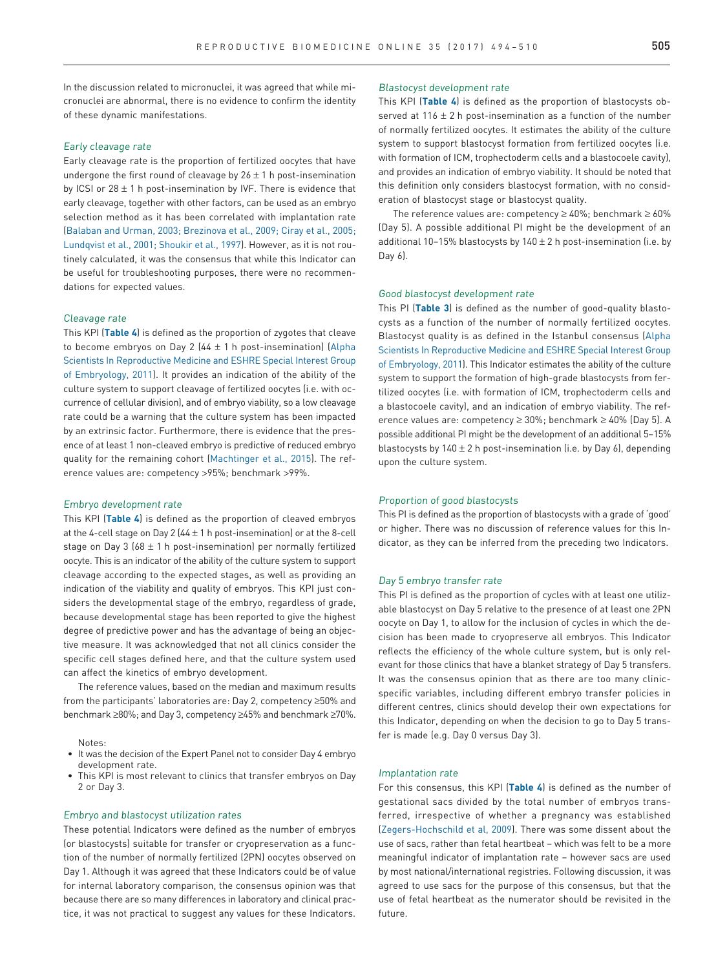In the discussion related to micronuclei, it was agreed that while micronuclei are abnormal, there is no evidence to confirm the identity of these dynamic manifestations.

#### Early cleavage rate

Early cleavage rate is the proportion of fertilized oocytes that have undergone the first round of cleavage by  $26 \pm 1$  h post-insemination by ICSI or  $28 \pm 1$  h post-insemination by IVF. There is evidence that early cleavage, together with other factors, can be used as an embryo selection method as it has been correlated with implantation rate [\(Balaban and Urman, 2003; Brezinova et al., 2009; Ciray et al., 2005;](#page-13-16) [Lundqvist et al., 2001; Shoukir et al., 1997\)](#page-13-16). However, as it is not routinely calculated, it was the consensus that while this Indicator can be useful for troubleshooting purposes, there were no recommendations for expected values.

#### Cleavage rate

This KPI (**[Table 4](#page-9-3)**) is defined as the proportion of zygotes that cleave to become embryos on Day 2 (44  $\pm$  1 h post-insemination) [\(Alpha](#page-13-12) [Scientists In Reproductive Medicine and ESHRE Special Interest Group](#page-13-12) [of Embryology, 2011\)](#page-13-12). It provides an indication of the ability of the culture system to support cleavage of fertilized oocytes (i.e. with occurrence of cellular division), and of embryo viability, so a low cleavage rate could be a warning that the culture system has been impacted by an extrinsic factor. Furthermore, there is evidence that the presence of at least 1 non-cleaved embryo is predictive of reduced embryo quality for the remaining cohort [\(Machtinger et al., 2015\)](#page-14-18). The reference values are: competency >95%; benchmark >99%.

#### Embryo development rate

This KPI (**[Table 4](#page-9-3)**) is defined as the proportion of cleaved embryos at the 4-cell stage on Day 2  $(44 \pm 1 \text{ h post-insemination})$  or at the 8-cell stage on Day 3 (68  $\pm$  1 h post-insemination) per normally fertilized oocyte. This is an indicator of the ability of the culture system to support cleavage according to the expected stages, as well as providing an indication of the viability and quality of embryos. This KPI just considers the developmental stage of the embryo, regardless of grade, because developmental stage has been reported to give the highest degree of predictive power and has the advantage of being an objective measure. It was acknowledged that not all clinics consider the specific cell stages defined here, and that the culture system used can affect the kinetics of embryo development.

The reference values, based on the median and maximum results from the participants' laboratories are: Day 2, competency ≥50% and benchmark ≥80%; and Day 3, competency ≥45% and benchmark ≥70%.

Notes:

- It was the decision of the Expert Panel not to consider Day 4 embryo development rate.
- This KPI is most relevant to clinics that transfer embryos on Day 2 or Day 3.

#### Embryo and blastocyst utilization rates

These potential Indicators were defined as the number of embryos (or blastocysts) suitable for transfer or cryopreservation as a function of the number of normally fertilized (2PN) oocytes observed on Day 1. Although it was agreed that these Indicators could be of value for internal laboratory comparison, the consensus opinion was that because there are so many differences in laboratory and clinical practice, it was not practical to suggest any values for these Indicators.

# Blastocyst development rate

This KPI (**[Table 4](#page-9-3)**) is defined as the proportion of blastocysts observed at  $116 \pm 2$  h post-insemination as a function of the number of normally fertilized oocytes. It estimates the ability of the culture system to support blastocyst formation from fertilized oocytes (i.e. with formation of ICM, trophectoderm cells and a blastocoele cavity), and provides an indication of embryo viability. It should be noted that this definition only considers blastocyst formation, with no consideration of blastocyst stage or blastocyst quality.

The reference values are: competency  $\geq 40\%$ : benchmark  $\geq 60\%$ (Day 5). A possible additional PI might be the development of an additional 10–15% blastocysts by  $140 \pm 2$  h post-insemination (i.e. by Day 6).

#### Good blastocyst development rate

This PI (**[Table 3](#page-8-0)**) is defined as the number of good-quality blastocysts as a function of the number of normally fertilized oocytes. Blastocyst quality is as defined in the Istanbul consensus [\(Alpha](#page-13-12) [Scientists In Reproductive Medicine and ESHRE Special Interest Group](#page-13-12) [of Embryology, 2011\)](#page-13-12). This Indicator estimates the ability of the culture system to support the formation of high-grade blastocysts from fertilized oocytes (i.e. with formation of ICM, trophectoderm cells and a blastocoele cavity), and an indication of embryo viability. The reference values are: competency ≥ 30%; benchmark ≥ 40% (Day 5). A possible additional PI might be the development of an additional 5–15% blastocysts by  $140 \pm 2$  h post-insemination (i.e. by Day 6), depending upon the culture system.

#### Proportion of good blastocysts

This PI is defined as the proportion of blastocysts with a grade of 'good' or higher. There was no discussion of reference values for this Indicator, as they can be inferred from the preceding two Indicators.

#### Day 5 embryo transfer rate

This PI is defined as the proportion of cycles with at least one utilizable blastocyst on Day 5 relative to the presence of at least one 2PN oocyte on Day 1, to allow for the inclusion of cycles in which the decision has been made to cryopreserve all embryos. This Indicator reflects the efficiency of the whole culture system, but is only relevant for those clinics that have a blanket strategy of Day 5 transfers. It was the consensus opinion that as there are too many clinicspecific variables, including different embryo transfer policies in different centres, clinics should develop their own expectations for this Indicator, depending on when the decision to go to Day 5 transfer is made (e.g. Day 0 versus Day 3).

#### Implantation rate

For this consensus, this KPI (**[Table 4](#page-9-3)**) is defined as the number of gestational sacs divided by the total number of embryos transferred, irrespective of whether a pregnancy was established [\(Zegers-Hochschild et al, 2009\)](#page-16-4). There was some dissent about the use of sacs, rather than fetal heartbeat – which was felt to be a more meaningful indicator of implantation rate – however sacs are used by most national/international registries. Following discussion, it was agreed to use sacs for the purpose of this consensus, but that the use of fetal heartbeat as the numerator should be revisited in the future.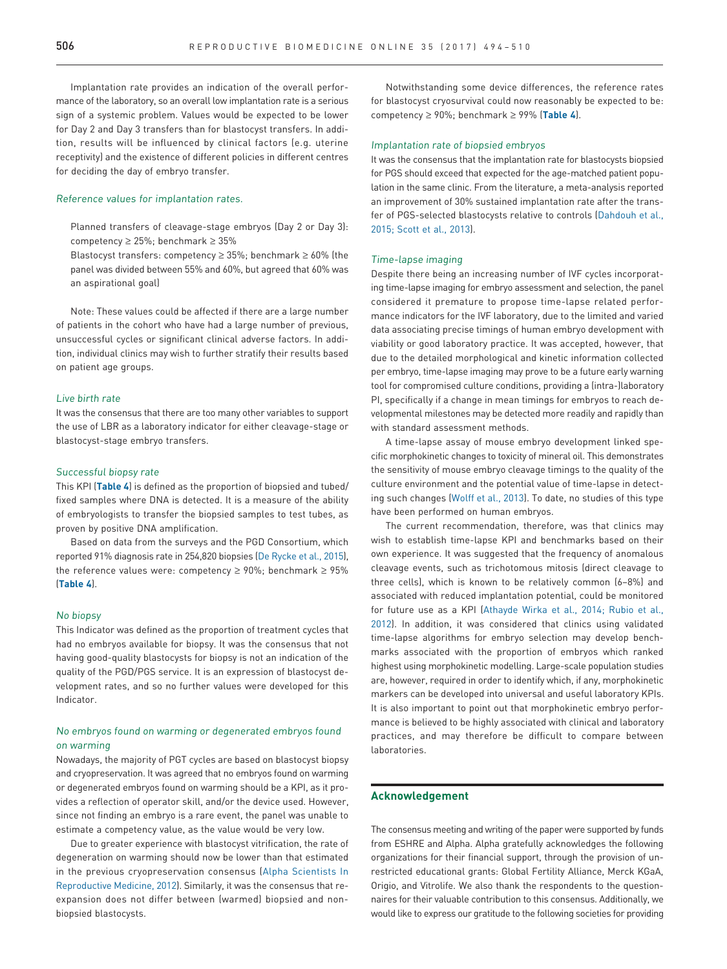Implantation rate provides an indication of the overall performance of the laboratory, so an overall low implantation rate is a serious sign of a systemic problem. Values would be expected to be lower for Day 2 and Day 3 transfers than for blastocyst transfers. In addition, results will be influenced by clinical factors (e.g. uterine receptivity) and the existence of different policies in different centres for deciding the day of embryo transfer.

#### Reference values for implantation rates.

Planned transfers of cleavage-stage embryos (Day 2 or Day 3): competency ≥ 25%; benchmark ≥ 35%

Blastocyst transfers: competency ≥ 35%; benchmark ≥ 60% (the panel was divided between 55% and 60%, but agreed that 60% was an aspirational goal)

Note: These values could be affected if there are a large number of patients in the cohort who have had a large number of previous, unsuccessful cycles or significant clinical adverse factors. In addition, individual clinics may wish to further stratify their results based on patient age groups.

# Live birth rate

It was the consensus that there are too many other variables to support the use of LBR as a laboratory indicator for either cleavage-stage or blastocyst-stage embryo transfers.

# Successful biopsy rate

This KPI (**[Table 4](#page-9-3)**) is defined as the proportion of biopsied and tubed/ fixed samples where DNA is detected. It is a measure of the ability of embryologists to transfer the biopsied samples to test tubes, as proven by positive DNA amplification.

Based on data from the surveys and the PGD Consortium, which reported 91% diagnosis rate in 254,820 biopsies [\(De Rycke et al., 2015\)](#page-13-21), the reference values were: competency  $\geq$  90%; benchmark  $\geq$  95% (**[Table 4](#page-9-3)**).

#### No biopsy

This Indicator was defined as the proportion of treatment cycles that had no embryos available for biopsy. It was the consensus that not having good-quality blastocysts for biopsy is not an indication of the quality of the PGD/PGS service. It is an expression of blastocyst development rates, and so no further values were developed for this Indicator.

# No embryos found on warming or degenerated embryos found on warming

Nowadays, the majority of PGT cycles are based on blastocyst biopsy and cryopreservation. It was agreed that no embryos found on warming or degenerated embryos found on warming should be a KPI, as it provides a reflection of operator skill, and/or the device used. However, since not finding an embryo is a rare event, the panel was unable to estimate a competency value, as the value would be very low.

Due to greater experience with blastocyst vitrification, the rate of degeneration on warming should now be lower than that estimated in the previous cryopreservation consensus [\(Alpha Scientists In](#page-13-20) [Reproductive Medicine, 2012\)](#page-13-20). Similarly, it was the consensus that reexpansion does not differ between (warmed) biopsied and nonbiopsied blastocysts.

Notwithstanding some device differences, the reference rates for blastocyst cryosurvival could now reasonably be expected to be: competency ≥ 90%; benchmark ≥ 99% (**[Table 4](#page-9-3)**).

#### Implantation rate of biopsied embryos

It was the consensus that the implantation rate for blastocysts biopsied for PGS should exceed that expected for the age-matched patient population in the same clinic. From the literature, a meta-analysis reported an improvement of 30% sustained implantation rate after the transfer of PGS-selected blastocysts relative to controls [\(Dahdouh et al.,](#page-13-26) [2015; Scott et al., 2013\)](#page-13-26).

#### Time-lapse imaging

Despite there being an increasing number of IVF cycles incorporating time-lapse imaging for embryo assessment and selection, the panel considered it premature to propose time-lapse related performance indicators for the IVF laboratory, due to the limited and varied data associating precise timings of human embryo development with viability or good laboratory practice. It was accepted, however, that due to the detailed morphological and kinetic information collected per embryo, time-lapse imaging may prove to be a future early warning tool for compromised culture conditions, providing a (intra-)laboratory PI, specifically if a change in mean timings for embryos to reach developmental milestones may be detected more readily and rapidly than with standard assessment methods.

A time-lapse assay of mouse embryo development linked specific morphokinetic changes to toxicity of mineral oil. This demonstrates the sensitivity of mouse embryo cleavage timings to the quality of the culture environment and the potential value of time-lapse in detecting such changes [\(Wolff et al., 2013\)](#page-16-5). To date, no studies of this type have been performed on human embryos.

The current recommendation, therefore, was that clinics may wish to establish time-lapse KPI and benchmarks based on their own experience. It was suggested that the frequency of anomalous cleavage events, such as trichotomous mitosis (direct cleavage to three cells), which is known to be relatively common (6–8%) and associated with reduced implantation potential, could be monitored for future use as a KPI [\(Athayde Wirka et al., 2014; Rubio et al.,](#page-13-27) [2012\)](#page-13-27). In addition, it was considered that clinics using validated time-lapse algorithms for embryo selection may develop benchmarks associated with the proportion of embryos which ranked highest using morphokinetic modelling. Large-scale population studies are, however, required in order to identify which, if any, morphokinetic markers can be developed into universal and useful laboratory KPIs. It is also important to point out that morphokinetic embryo performance is believed to be highly associated with clinical and laboratory practices, and may therefore be difficult to compare between laboratories.

# **Acknowledgement**

The consensus meeting and writing of the paper were supported by funds from ESHRE and Alpha. Alpha gratefully acknowledges the following organizations for their financial support, through the provision of unrestricted educational grants: Global Fertility Alliance, Merck KGaA, Origio, and Vitrolife. We also thank the respondents to the questionnaires for their valuable contribution to this consensus. Additionally, we would like to express our gratitude to the following societies for providing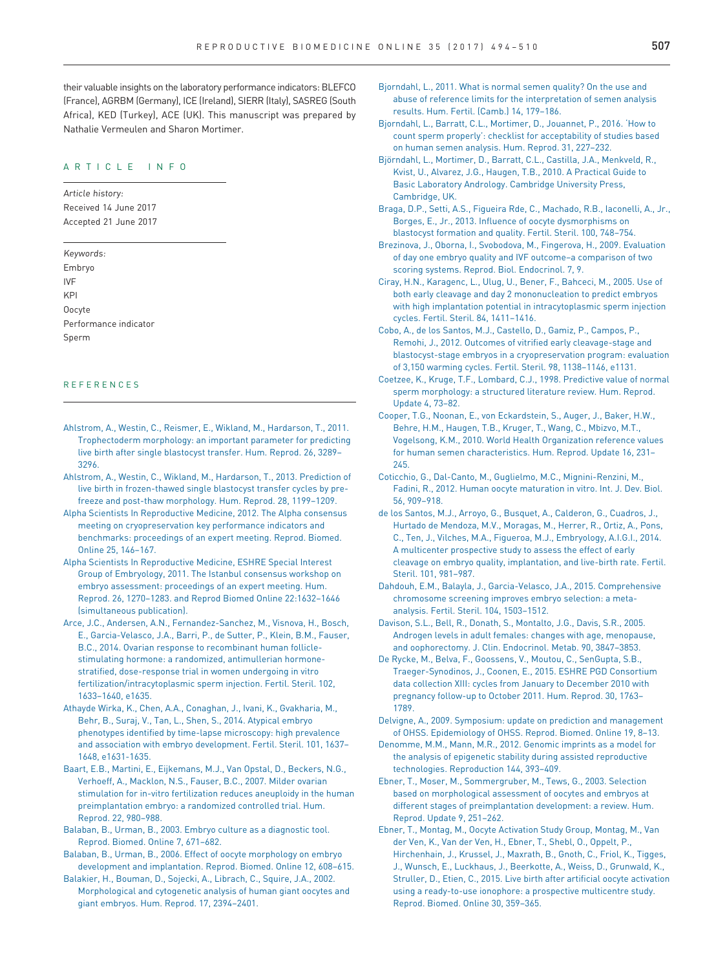their valuable insights on the laboratory performance indicators: BLEFCO (France), AGRBM (Germany), ICE (Ireland), SIERR (Italy), SASREG (South Africa), KED (Turkey), ACE (UK). This manuscript was prepared by Nathalie Vermeulen and Sharon Mortimer.

#### ARTICLE INFO

Article history: Received 14 June 2017 Accepted 21 June 2017

Keywords: Embryo IVF KPI **Oocyte** Performance indicator Sperm

## REFERENCES

- <span id="page-13-19"></span>[Ahlstrom, A., Westin, C., Reismer, E., Wikland, M., Hardarson, T., 2011.](http://refhub.elsevier.com/S1472-6483(17)30268-7/sr0010) [Trophectoderm morphology: an important parameter for predicting](http://refhub.elsevier.com/S1472-6483(17)30268-7/sr0010) [live birth after single blastocyst transfer. Hum. Reprod. 26, 3289–](http://refhub.elsevier.com/S1472-6483(17)30268-7/sr0010) [3296.](http://refhub.elsevier.com/S1472-6483(17)30268-7/sr0010)
- <span id="page-13-23"></span>[Ahlstrom, A., Westin, C., Wikland, M., Hardarson, T., 2013. Prediction of](http://refhub.elsevier.com/S1472-6483(17)30268-7/sr0015) [live birth in frozen-thawed single blastocyst transfer cycles by pre](http://refhub.elsevier.com/S1472-6483(17)30268-7/sr0015)[freeze and post-thaw morphology. Hum. Reprod. 28, 1199–1209.](http://refhub.elsevier.com/S1472-6483(17)30268-7/sr0015)
- <span id="page-13-20"></span>[Alpha Scientists In Reproductive Medicine, 2012. The Alpha consensus](http://refhub.elsevier.com/S1472-6483(17)30268-7/sr0020) [meeting on cryopreservation key performance indicators and](http://refhub.elsevier.com/S1472-6483(17)30268-7/sr0020) [benchmarks: proceedings of an expert meeting. Reprod. Biomed.](http://refhub.elsevier.com/S1472-6483(17)30268-7/sr0020) [Online 25, 146–167.](http://refhub.elsevier.com/S1472-6483(17)30268-7/sr0020)
- <span id="page-13-12"></span>[Alpha Scientists In Reproductive Medicine, ESHRE Special Interest](http://refhub.elsevier.com/S1472-6483(17)30268-7/sr0025) [Group of Embryology, 2011. The Istanbul consensus workshop on](http://refhub.elsevier.com/S1472-6483(17)30268-7/sr0025) [embryo assessment: proceedings of an expert meeting. Hum.](http://refhub.elsevier.com/S1472-6483(17)30268-7/sr0025) [Reprod. 26, 1270–1283. and Reprod Biomed Online 22:1632–1646](http://refhub.elsevier.com/S1472-6483(17)30268-7/sr0025) [\(simultaneous publication\).](http://refhub.elsevier.com/S1472-6483(17)30268-7/sr0025)
- <span id="page-13-3"></span>[Arce, J.C., Andersen, A.N., Fernandez-Sanchez, M., Visnova, H., Bosch,](http://refhub.elsevier.com/S1472-6483(17)30268-7/sr0030) [E., Garcia-Velasco, J.A., Barri, P., de Sutter, P., Klein, B.M., Fauser,](http://refhub.elsevier.com/S1472-6483(17)30268-7/sr0030) [B.C., 2014. Ovarian response to recombinant human follicle](http://refhub.elsevier.com/S1472-6483(17)30268-7/sr0030)[stimulating hormone: a randomized, antimullerian hormone](http://refhub.elsevier.com/S1472-6483(17)30268-7/sr0030)[stratified, dose-response trial in women undergoing in vitro](http://refhub.elsevier.com/S1472-6483(17)30268-7/sr0030) [fertilization/intracytoplasmic sperm injection. Fertil. Steril. 102,](http://refhub.elsevier.com/S1472-6483(17)30268-7/sr0030) [1633–1640, e1635.](http://refhub.elsevier.com/S1472-6483(17)30268-7/sr0030)
- <span id="page-13-27"></span>[Athayde Wirka, K., Chen, A.A., Conaghan, J., Ivani, K., Gvakharia, M.,](http://refhub.elsevier.com/S1472-6483(17)30268-7/sr0035) [Behr, B., Suraj, V., Tan, L., Shen, S., 2014. Atypical embryo](http://refhub.elsevier.com/S1472-6483(17)30268-7/sr0035) [phenotypes identified by time-lapse microscopy: high prevalence](http://refhub.elsevier.com/S1472-6483(17)30268-7/sr0035) [and association with embryo development. Fertil. Steril. 101, 1637–](http://refhub.elsevier.com/S1472-6483(17)30268-7/sr0035) [1648, e1631-1635.](http://refhub.elsevier.com/S1472-6483(17)30268-7/sr0035)
- <span id="page-13-1"></span>[Baart, E.B., Martini, E., Eijkemans, M.J., Van Opstal, D., Beckers, N.G.,](http://refhub.elsevier.com/S1472-6483(17)30268-7/sr0040) [Verhoeff, A., Macklon, N.S., Fauser, B.C., 2007. Milder ovarian](http://refhub.elsevier.com/S1472-6483(17)30268-7/sr0040) [stimulation for in-vitro fertilization reduces aneuploidy in the human](http://refhub.elsevier.com/S1472-6483(17)30268-7/sr0040) [preimplantation embryo: a randomized controlled trial. Hum.](http://refhub.elsevier.com/S1472-6483(17)30268-7/sr0040) [Reprod. 22, 980–988.](http://refhub.elsevier.com/S1472-6483(17)30268-7/sr0040)
- <span id="page-13-16"></span>[Balaban, B., Urman, B., 2003. Embryo culture as a diagnostic tool.](http://refhub.elsevier.com/S1472-6483(17)30268-7/sr0045) [Reprod. Biomed. Online 7, 671–682.](http://refhub.elsevier.com/S1472-6483(17)30268-7/sr0045)
- <span id="page-13-6"></span>[Balaban, B., Urman, B., 2006. Effect of oocyte morphology on embryo](http://refhub.elsevier.com/S1472-6483(17)30268-7/sr0050) [development and implantation. Reprod. Biomed. Online 12, 608–615.](http://refhub.elsevier.com/S1472-6483(17)30268-7/sr0050)
- <span id="page-13-25"></span>[Balakier, H., Bouman, D., Sojecki, A., Librach, C., Squire, J.A., 2002.](http://refhub.elsevier.com/S1472-6483(17)30268-7/sr0055) [Morphological and cytogenetic analysis of human giant oocytes and](http://refhub.elsevier.com/S1472-6483(17)30268-7/sr0055) [giant embryos. Hum. Reprod. 17, 2394–2401.](http://refhub.elsevier.com/S1472-6483(17)30268-7/sr0055)
- <span id="page-13-9"></span>[Bjorndahl, L., 2011. What is normal semen quality? On the use and](http://refhub.elsevier.com/S1472-6483(17)30268-7/sr0060) [abuse of reference limits for the interpretation of semen analysis](http://refhub.elsevier.com/S1472-6483(17)30268-7/sr0060) [results. Hum. Fertil. \(Camb.\) 14, 179–186.](http://refhub.elsevier.com/S1472-6483(17)30268-7/sr0060)
- <span id="page-13-8"></span>[Bjorndahl, L., Barratt, C.L., Mortimer, D., Jouannet, P., 2016. 'How to](http://refhub.elsevier.com/S1472-6483(17)30268-7/sr0065) [count sperm properly': checklist for acceptability of studies based](http://refhub.elsevier.com/S1472-6483(17)30268-7/sr0065) [on human semen analysis. Hum. Reprod. 31, 227–232.](http://refhub.elsevier.com/S1472-6483(17)30268-7/sr0065)
- <span id="page-13-7"></span>[Björndahl, L., Mortimer, D., Barratt, C.L., Castilla, J.A., Menkveld, R.,](http://refhub.elsevier.com/S1472-6483(17)30268-7/sr0070) [Kvist, U., Alvarez, J.G., Haugen, T.B., 2010. A Practical Guide to](http://refhub.elsevier.com/S1472-6483(17)30268-7/sr0070) [Basic Laboratory Andrology. Cambridge University Press,](http://refhub.elsevier.com/S1472-6483(17)30268-7/sr0070) [Cambridge, UK.](http://refhub.elsevier.com/S1472-6483(17)30268-7/sr0070)
- <span id="page-13-5"></span>[Braga, D.P., Setti, A.S., Figueira Rde, C., Machado, R.B., Iaconelli, A., Jr.,](http://refhub.elsevier.com/S1472-6483(17)30268-7/sr0075) [Borges, E., Jr., 2013. Influence of oocyte dysmorphisms on](http://refhub.elsevier.com/S1472-6483(17)30268-7/sr0075) [blastocyst formation and quality. Fertil. Steril. 100, 748–754.](http://refhub.elsevier.com/S1472-6483(17)30268-7/sr0075)
- <span id="page-13-17"></span>[Brezinova, J., Oborna, I., Svobodova, M., Fingerova, H., 2009. Evaluation](http://refhub.elsevier.com/S1472-6483(17)30268-7/sr0080) [of day one embryo quality and IVF outcome–a comparison of two](http://refhub.elsevier.com/S1472-6483(17)30268-7/sr0080) [scoring systems. Reprod. Biol. Endocrinol. 7, 9.](http://refhub.elsevier.com/S1472-6483(17)30268-7/sr0080)
- <span id="page-13-15"></span>[Ciray, H.N., Karagenc, L., Ulug, U., Bener, F., Bahceci, M., 2005. Use of](http://refhub.elsevier.com/S1472-6483(17)30268-7/sr0085) [both early cleavage and day 2 mononucleation to predict embryos](http://refhub.elsevier.com/S1472-6483(17)30268-7/sr0085) [with high implantation potential in intracytoplasmic sperm injection](http://refhub.elsevier.com/S1472-6483(17)30268-7/sr0085) [cycles. Fertil. Steril. 84, 1411–1416.](http://refhub.elsevier.com/S1472-6483(17)30268-7/sr0085)
- <span id="page-13-22"></span>[Cobo, A., de los Santos, M.J., Castello, D., Gamiz, P., Campos, P.,](http://refhub.elsevier.com/S1472-6483(17)30268-7/sr0090) [Remohi, J., 2012. Outcomes of vitrified early cleavage-stage and](http://refhub.elsevier.com/S1472-6483(17)30268-7/sr0090) [blastocyst-stage embryos in a cryopreservation program: evaluation](http://refhub.elsevier.com/S1472-6483(17)30268-7/sr0090) [of 3,150 warming cycles. Fertil. Steril. 98, 1138–1146, e1131.](http://refhub.elsevier.com/S1472-6483(17)30268-7/sr0090)
- <span id="page-13-11"></span>[Coetzee, K., Kruge, T.F., Lombard, C.J., 1998. Predictive value of normal](http://refhub.elsevier.com/S1472-6483(17)30268-7/sr0095) [sperm morphology: a structured literature review. Hum. Reprod.](http://refhub.elsevier.com/S1472-6483(17)30268-7/sr0095) [Update 4, 73–82.](http://refhub.elsevier.com/S1472-6483(17)30268-7/sr0095)
- <span id="page-13-10"></span>[Cooper, T.G., Noonan, E., von Eckardstein, S., Auger, J., Baker, H.W.,](http://refhub.elsevier.com/S1472-6483(17)30268-7/sr0100) [Behre, H.M., Haugen, T.B., Kruger, T., Wang, C., Mbizvo, M.T.,](http://refhub.elsevier.com/S1472-6483(17)30268-7/sr0100) [Vogelsong, K.M., 2010. World Health Organization reference values](http://refhub.elsevier.com/S1472-6483(17)30268-7/sr0100) [for human semen characteristics. Hum. Reprod. Update 16, 231–](http://refhub.elsevier.com/S1472-6483(17)30268-7/sr0100) [245.](http://refhub.elsevier.com/S1472-6483(17)30268-7/sr0100)
- <span id="page-13-24"></span>[Coticchio, G., Dal-Canto, M., Guglielmo, M.C., Mignini-Renzini, M.,](http://refhub.elsevier.com/S1472-6483(17)30268-7/sr0105) [Fadini, R., 2012. Human oocyte maturation in vitro. Int. J. Dev. Biol.](http://refhub.elsevier.com/S1472-6483(17)30268-7/sr0105) [56, 909–918.](http://refhub.elsevier.com/S1472-6483(17)30268-7/sr0105)
- <span id="page-13-18"></span>[de los Santos, M.J., Arroyo, G., Busquet, A., Calderon, G., Cuadros, J.,](http://refhub.elsevier.com/S1472-6483(17)30268-7/sr0110) [Hurtado de Mendoza, M.V., Moragas, M., Herrer, R., Ortiz, A., Pons,](http://refhub.elsevier.com/S1472-6483(17)30268-7/sr0110) [C., Ten, J., Vilches, M.A., Figueroa, M.J., Embryology, A.I.G.I., 2014.](http://refhub.elsevier.com/S1472-6483(17)30268-7/sr0110) [A multicenter prospective study to assess the effect of early](http://refhub.elsevier.com/S1472-6483(17)30268-7/sr0110) [cleavage on embryo quality, implantation, and live-birth rate. Fertil.](http://refhub.elsevier.com/S1472-6483(17)30268-7/sr0110) [Steril. 101, 981–987.](http://refhub.elsevier.com/S1472-6483(17)30268-7/sr0110)
- <span id="page-13-26"></span>[Dahdouh, E.M., Balayla, J., Garcia-Velasco, J.A., 2015. Comprehensive](http://refhub.elsevier.com/S1472-6483(17)30268-7/sr0115) [chromosome screening improves embryo selection: a meta](http://refhub.elsevier.com/S1472-6483(17)30268-7/sr0115)[analysis. Fertil. Steril. 104, 1503–1512.](http://refhub.elsevier.com/S1472-6483(17)30268-7/sr0115)
- <span id="page-13-4"></span>[Davison, S.L., Bell, R., Donath, S., Montalto, J.G., Davis, S.R., 2005.](http://refhub.elsevier.com/S1472-6483(17)30268-7/sr0120) [Androgen levels in adult females: changes with age, menopause,](http://refhub.elsevier.com/S1472-6483(17)30268-7/sr0120) [and oophorectomy. J. Clin. Endocrinol. Metab. 90, 3847–3853.](http://refhub.elsevier.com/S1472-6483(17)30268-7/sr0120)
- <span id="page-13-21"></span>[De Rycke, M., Belva, F., Goossens, V., Moutou, C., SenGupta, S.B.,](http://refhub.elsevier.com/S1472-6483(17)30268-7/sr0125) [Traeger-Synodinos, J., Coonen, E., 2015. ESHRE PGD Consortium](http://refhub.elsevier.com/S1472-6483(17)30268-7/sr0125) [data collection XIII: cycles from January to December 2010 with](http://refhub.elsevier.com/S1472-6483(17)30268-7/sr0125) [pregnancy follow-up to October 2011. Hum. Reprod. 30, 1763–](http://refhub.elsevier.com/S1472-6483(17)30268-7/sr0125) [1789.](http://refhub.elsevier.com/S1472-6483(17)30268-7/sr0125)
- <span id="page-13-0"></span>[Delvigne, A., 2009. Symposium: update on prediction and management](http://refhub.elsevier.com/S1472-6483(17)30268-7/sr0130) [of OHSS. Epidemiology of OHSS. Reprod. Biomed. Online 19, 8–13.](http://refhub.elsevier.com/S1472-6483(17)30268-7/sr0130)
- <span id="page-13-2"></span>[Denomme, M.M., Mann, M.R., 2012. Genomic imprints as a model for](http://refhub.elsevier.com/S1472-6483(17)30268-7/sr0135) [the analysis of epigenetic stability during assisted reproductive](http://refhub.elsevier.com/S1472-6483(17)30268-7/sr0135) [technologies. Reproduction 144, 393–409.](http://refhub.elsevier.com/S1472-6483(17)30268-7/sr0135)
- <span id="page-13-14"></span>[Ebner, T., Moser, M., Sommergruber, M., Tews, G., 2003. Selection](http://refhub.elsevier.com/S1472-6483(17)30268-7/sr0140) [based on morphological assessment of oocytes and embryos at](http://refhub.elsevier.com/S1472-6483(17)30268-7/sr0140) [different stages of preimplantation development: a review. Hum.](http://refhub.elsevier.com/S1472-6483(17)30268-7/sr0140) [Reprod. Update 9, 251–262.](http://refhub.elsevier.com/S1472-6483(17)30268-7/sr0140)
- <span id="page-13-13"></span>[Ebner, T., Montag, M., Oocyte Activation Study Group, Montag, M., Van](http://refhub.elsevier.com/S1472-6483(17)30268-7/sr0145) [der Ven, K., Van der Ven, H., Ebner, T., Shebl, O., Oppelt, P.,](http://refhub.elsevier.com/S1472-6483(17)30268-7/sr0145) [Hirchenhain, J., Krussel, J., Maxrath, B., Gnoth, C., Friol, K., Tigges,](http://refhub.elsevier.com/S1472-6483(17)30268-7/sr0145) [J., Wunsch, E., Luckhaus, J., Beerkotte, A., Weiss, D., Grunwald, K.,](http://refhub.elsevier.com/S1472-6483(17)30268-7/sr0145) [Struller, D., Etien, C., 2015. Live birth after artificial oocyte activation](http://refhub.elsevier.com/S1472-6483(17)30268-7/sr0145) [using a ready-to-use ionophore: a prospective multicentre study.](http://refhub.elsevier.com/S1472-6483(17)30268-7/sr0145) [Reprod. Biomed. Online 30, 359–365.](http://refhub.elsevier.com/S1472-6483(17)30268-7/sr0145)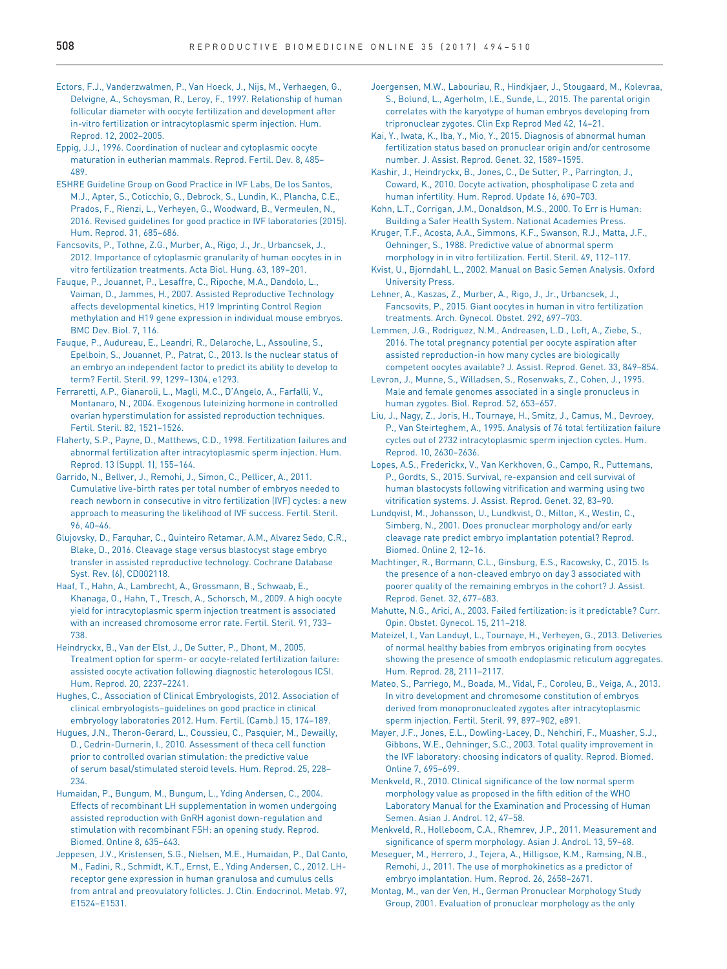<span id="page-14-2"></span>[Ectors, F.J., Vanderzwalmen, P., Van Hoeck, J., Nijs, M., Verhaegen, G.,](http://refhub.elsevier.com/S1472-6483(17)30268-7/sr0150) [Delvigne, A., Schoysman, R., Leroy, F., 1997. Relationship of human](http://refhub.elsevier.com/S1472-6483(17)30268-7/sr0150) [follicular diameter with oocyte fertilization and development after](http://refhub.elsevier.com/S1472-6483(17)30268-7/sr0150) [in-vitro fertilization or intracytoplasmic sperm injection. Hum.](http://refhub.elsevier.com/S1472-6483(17)30268-7/sr0150) [Reprod. 12, 2002–2005.](http://refhub.elsevier.com/S1472-6483(17)30268-7/sr0150)

[Eppig, J.J., 1996. Coordination of nuclear and cytoplasmic oocyte](http://refhub.elsevier.com/S1472-6483(17)30268-7/sr0155) [maturation in eutherian mammals. Reprod. Fertil. Dev. 8, 485–](http://refhub.elsevier.com/S1472-6483(17)30268-7/sr0155) [489.](http://refhub.elsevier.com/S1472-6483(17)30268-7/sr0155)

<span id="page-14-1"></span>[ESHRE Guideline Group on Good Practice in IVF Labs, De los Santos,](http://refhub.elsevier.com/S1472-6483(17)30268-7/sr0160) [M.J., Apter, S., Coticchio, G., Debrock, S., Lundin, K., Plancha, C.E.,](http://refhub.elsevier.com/S1472-6483(17)30268-7/sr0160) [Prados, F., Rienzi, L., Verheyen, G., Woodward, B., Vermeulen, N.,](http://refhub.elsevier.com/S1472-6483(17)30268-7/sr0160) [2016. Revised guidelines for good practice in IVF laboratories \(2015\).](http://refhub.elsevier.com/S1472-6483(17)30268-7/sr0160) [Hum. Reprod. 31, 685–686.](http://refhub.elsevier.com/S1472-6483(17)30268-7/sr0160)

<span id="page-14-19"></span>[Fancsovits, P., Tothne, Z.G., Murber, A., Rigo, J., Jr., Urbancsek, J.,](http://refhub.elsevier.com/S1472-6483(17)30268-7/sr0165) [2012. Importance of cytoplasmic granularity of human oocytes in in](http://refhub.elsevier.com/S1472-6483(17)30268-7/sr0165) [vitro fertilization treatments. Acta Biol. Hung. 63, 189–201.](http://refhub.elsevier.com/S1472-6483(17)30268-7/sr0165)

[Fauque, P., Jouannet, P., Lesaffre, C., Ripoche, M.A., Dandolo, L.,](http://refhub.elsevier.com/S1472-6483(17)30268-7/sr0170) [Vaiman, D., Jammes, H., 2007. Assisted Reproductive Technology](http://refhub.elsevier.com/S1472-6483(17)30268-7/sr0170) [affects developmental kinetics, H19 Imprinting Control Region](http://refhub.elsevier.com/S1472-6483(17)30268-7/sr0170) [methylation and H19 gene expression in individual mouse embryos.](http://refhub.elsevier.com/S1472-6483(17)30268-7/sr0170) [BMC Dev. Biol. 7, 116.](http://refhub.elsevier.com/S1472-6483(17)30268-7/sr0170)

<span id="page-14-20"></span>[Fauque, P., Audureau, E., Leandri, R., Delaroche, L., Assouline, S.,](http://refhub.elsevier.com/S1472-6483(17)30268-7/sr0175) [Epelboin, S., Jouannet, P., Patrat, C., 2013. Is the nuclear status of](http://refhub.elsevier.com/S1472-6483(17)30268-7/sr0175) [an embryo an independent factor to predict its ability to develop to](http://refhub.elsevier.com/S1472-6483(17)30268-7/sr0175) [term? Fertil. Steril. 99, 1299–1304, e1293.](http://refhub.elsevier.com/S1472-6483(17)30268-7/sr0175)

<span id="page-14-4"></span>[Ferraretti, A.P., Gianaroli, L., Magli, M.C., D'Angelo, A., Farfalli, V.,](http://refhub.elsevier.com/S1472-6483(17)30268-7/sr0180) [Montanaro, N., 2004. Exogenous luteinizing hormone in controlled](http://refhub.elsevier.com/S1472-6483(17)30268-7/sr0180) [ovarian hyperstimulation for assisted reproduction techniques.](http://refhub.elsevier.com/S1472-6483(17)30268-7/sr0180) [Fertil. Steril. 82, 1521–1526.](http://refhub.elsevier.com/S1472-6483(17)30268-7/sr0180)

<span id="page-14-11"></span>[Flaherty, S.P., Payne, D., Matthews, C.D., 1998. Fertilization failures and](http://refhub.elsevier.com/S1472-6483(17)30268-7/sr0185) [abnormal fertilization after intracytoplasmic sperm injection. Hum.](http://refhub.elsevier.com/S1472-6483(17)30268-7/sr0185) [Reprod. 13 \(Suppl. 1\), 155–164.](http://refhub.elsevier.com/S1472-6483(17)30268-7/sr0185)

<span id="page-14-7"></span>[Garrido, N., Bellver, J., Remohi, J., Simon, C., Pellicer, A., 2011.](http://refhub.elsevier.com/S1472-6483(17)30268-7/sr0190) [Cumulative live-birth rates per total number of embryos needed to](http://refhub.elsevier.com/S1472-6483(17)30268-7/sr0190) [reach newborn in consecutive in vitro fertilization \(IVF\) cycles: a new](http://refhub.elsevier.com/S1472-6483(17)30268-7/sr0190) [approach to measuring the likelihood of IVF success. Fertil. Steril.](http://refhub.elsevier.com/S1472-6483(17)30268-7/sr0190) [96, 40–46.](http://refhub.elsevier.com/S1472-6483(17)30268-7/sr0190)

<span id="page-14-21"></span>[Glujovsky, D., Farquhar, C., Quinteiro Retamar, A.M., Alvarez Sedo, C.R.,](http://refhub.elsevier.com/S1472-6483(17)30268-7/sr0195) [Blake, D., 2016. Cleavage stage versus blastocyst stage embryo](http://refhub.elsevier.com/S1472-6483(17)30268-7/sr0195) [transfer in assisted reproductive technology. Cochrane Database](http://refhub.elsevier.com/S1472-6483(17)30268-7/sr0195) [Syst. Rev. \(6\), CD002118.](http://refhub.elsevier.com/S1472-6483(17)30268-7/sr0195)

[Haaf, T., Hahn, A., Lambrecht, A., Grossmann, B., Schwaab, E.,](http://refhub.elsevier.com/S1472-6483(17)30268-7/sr0200) [Khanaga, O., Hahn, T., Tresch, A., Schorsch, M., 2009. A high oocyte](http://refhub.elsevier.com/S1472-6483(17)30268-7/sr0200) [yield for intracytoplasmic sperm injection treatment is associated](http://refhub.elsevier.com/S1472-6483(17)30268-7/sr0200) [with an increased chromosome error rate. Fertil. Steril. 91, 733–](http://refhub.elsevier.com/S1472-6483(17)30268-7/sr0200) [738.](http://refhub.elsevier.com/S1472-6483(17)30268-7/sr0200)

<span id="page-14-10"></span>[Heindryckx, B., Van der Elst, J., De Sutter, P., Dhont, M., 2005.](http://refhub.elsevier.com/S1472-6483(17)30268-7/sr0205) [Treatment option for sperm- or oocyte-related fertilization failure:](http://refhub.elsevier.com/S1472-6483(17)30268-7/sr0205) [assisted oocyte activation following diagnostic heterologous ICSI.](http://refhub.elsevier.com/S1472-6483(17)30268-7/sr0205) [Hum. Reprod. 20, 2237–2241.](http://refhub.elsevier.com/S1472-6483(17)30268-7/sr0205)

<span id="page-14-9"></span>[Hughes, C., Association of Clinical Embryologists, 2012. Association of](http://refhub.elsevier.com/S1472-6483(17)30268-7/sr0210) [clinical embryologists–guidelines on good practice in clinical](http://refhub.elsevier.com/S1472-6483(17)30268-7/sr0210) [embryology laboratories 2012. Hum. Fertil. \(Camb.\) 15, 174–189.](http://refhub.elsevier.com/S1472-6483(17)30268-7/sr0210)

<span id="page-14-5"></span>[Hugues, J.N., Theron-Gerard, L., Coussieu, C., Pasquier, M., Dewailly,](http://refhub.elsevier.com/S1472-6483(17)30268-7/sr0215) [D., Cedrin-Durnerin, I., 2010. Assessment of theca cell function](http://refhub.elsevier.com/S1472-6483(17)30268-7/sr0215) [prior to controlled ovarian stimulation: the predictive value](http://refhub.elsevier.com/S1472-6483(17)30268-7/sr0215) [of serum basal/stimulated steroid levels. Hum. Reprod. 25, 228–](http://refhub.elsevier.com/S1472-6483(17)30268-7/sr0215) [234.](http://refhub.elsevier.com/S1472-6483(17)30268-7/sr0215)

[Humaidan, P., Bungum, M., Bungum, L., Yding Andersen, C., 2004.](http://refhub.elsevier.com/S1472-6483(17)30268-7/sr0220) [Effects of recombinant LH supplementation in women undergoing](http://refhub.elsevier.com/S1472-6483(17)30268-7/sr0220) [assisted reproduction with GnRH agonist down-regulation and](http://refhub.elsevier.com/S1472-6483(17)30268-7/sr0220) [stimulation with recombinant FSH: an opening study. Reprod.](http://refhub.elsevier.com/S1472-6483(17)30268-7/sr0220) [Biomed. Online 8, 635–643.](http://refhub.elsevier.com/S1472-6483(17)30268-7/sr0220)

<span id="page-14-3"></span>[Jeppesen, J.V., Kristensen, S.G., Nielsen, M.E., Humaidan, P., Dal Canto,](http://refhub.elsevier.com/S1472-6483(17)30268-7/sr0225) [M., Fadini, R., Schmidt, K.T., Ernst, E., Yding Andersen, C., 2012. LH](http://refhub.elsevier.com/S1472-6483(17)30268-7/sr0225)[receptor gene expression in human granulosa and cumulus cells](http://refhub.elsevier.com/S1472-6483(17)30268-7/sr0225) [from antral and preovulatory follicles. J. Clin. Endocrinol. Metab. 97,](http://refhub.elsevier.com/S1472-6483(17)30268-7/sr0225) [E1524–E1531.](http://refhub.elsevier.com/S1472-6483(17)30268-7/sr0225)

<span id="page-14-13"></span>[Joergensen, M.W., Labouriau, R., Hindkjaer, J., Stougaard, M., Kolevraa,](http://refhub.elsevier.com/S1472-6483(17)30268-7/sr0230) [S., Bolund, L., Agerholm, I.E., Sunde, L., 2015. The parental origin](http://refhub.elsevier.com/S1472-6483(17)30268-7/sr0230) [correlates with the karyotype of human embryos developing from](http://refhub.elsevier.com/S1472-6483(17)30268-7/sr0230) [tripronuclear zygotes. Clin Exp Reprod Med 42, 14–21.](http://refhub.elsevier.com/S1472-6483(17)30268-7/sr0230)

<span id="page-14-15"></span>[Kai, Y., Iwata, K., Iba, Y., Mio, Y., 2015. Diagnosis of abnormal human](http://refhub.elsevier.com/S1472-6483(17)30268-7/sr0235) [fertilization status based on pronuclear origin and/or centrosome](http://refhub.elsevier.com/S1472-6483(17)30268-7/sr0235) [number. J. Assist. Reprod. Genet. 32, 1589–1595.](http://refhub.elsevier.com/S1472-6483(17)30268-7/sr0235)

[Kashir, J., Heindryckx, B., Jones, C., De Sutter, P., Parrington, J.,](http://refhub.elsevier.com/S1472-6483(17)30268-7/sr0240) [Coward, K., 2010. Oocyte activation, phospholipase C zeta and](http://refhub.elsevier.com/S1472-6483(17)30268-7/sr0240) [human infertility. Hum. Reprod. Update 16, 690–703.](http://refhub.elsevier.com/S1472-6483(17)30268-7/sr0240)

<span id="page-14-0"></span>[Kohn, L.T., Corrigan, J.M., Donaldson, M.S., 2000. To Err is Human:](http://refhub.elsevier.com/S1472-6483(17)30268-7/sr0245) [Building a Safer Health System. National Academies Press.](http://refhub.elsevier.com/S1472-6483(17)30268-7/sr0245)

[Kruger, T.F., Acosta, A.A., Simmons, K.F., Swanson, R.J., Matta, J.F.,](http://refhub.elsevier.com/S1472-6483(17)30268-7/sr0250) [Oehninger, S., 1988. Predictive value of abnormal sperm](http://refhub.elsevier.com/S1472-6483(17)30268-7/sr0250) [morphology in in vitro fertilization. Fertil. Steril. 49, 112–117.](http://refhub.elsevier.com/S1472-6483(17)30268-7/sr0250)

[Kvist, U., Bjorndahl, L., 2002. Manual on Basic Semen Analysis. Oxford](http://refhub.elsevier.com/S1472-6483(17)30268-7/sr0255) [University Press.](http://refhub.elsevier.com/S1472-6483(17)30268-7/sr0255)

[Lehner, A., Kaszas, Z., Murber, A., Rigo, J., Jr., Urbancsek, J.,](http://refhub.elsevier.com/S1472-6483(17)30268-7/sr0260) [Fancsovits, P., 2015. Giant oocytes in human in vitro fertilization](http://refhub.elsevier.com/S1472-6483(17)30268-7/sr0260) [treatments. Arch. Gynecol. Obstet. 292, 697–703.](http://refhub.elsevier.com/S1472-6483(17)30268-7/sr0260)

<span id="page-14-6"></span>[Lemmen, J.G., Rodriguez, N.M., Andreasen, L.D., Loft, A., Ziebe, S.,](http://refhub.elsevier.com/S1472-6483(17)30268-7/sr0265) [2016. The total pregnancy potential per oocyte aspiration after](http://refhub.elsevier.com/S1472-6483(17)30268-7/sr0265) [assisted reproduction-in how many cycles are biologically](http://refhub.elsevier.com/S1472-6483(17)30268-7/sr0265) [competent oocytes available? J. Assist. Reprod. Genet. 33, 849–854.](http://refhub.elsevier.com/S1472-6483(17)30268-7/sr0265)

<span id="page-14-14"></span>[Levron, J., Munne, S., Willadsen, S., Rosenwaks, Z., Cohen, J., 1995.](http://refhub.elsevier.com/S1472-6483(17)30268-7/sr0270) [Male and female genomes associated in a single pronucleus in](http://refhub.elsevier.com/S1472-6483(17)30268-7/sr0270) [human zygotes. Biol. Reprod. 52, 653–657.](http://refhub.elsevier.com/S1472-6483(17)30268-7/sr0270)

[Liu, J., Nagy, Z., Joris, H., Tournaye, H., Smitz, J., Camus, M., Devroey,](http://refhub.elsevier.com/S1472-6483(17)30268-7/sr0275) [P., Van Steirteghem, A., 1995. Analysis of 76 total fertilization failure](http://refhub.elsevier.com/S1472-6483(17)30268-7/sr0275) [cycles out of 2732 intracytoplasmic sperm injection cycles. Hum.](http://refhub.elsevier.com/S1472-6483(17)30268-7/sr0275) [Reprod. 10, 2630–2636.](http://refhub.elsevier.com/S1472-6483(17)30268-7/sr0275)

<span id="page-14-22"></span>[Lopes, A.S., Frederickx, V., Van Kerkhoven, G., Campo, R., Puttemans,](http://refhub.elsevier.com/S1472-6483(17)30268-7/sr0280) [P., Gordts, S., 2015. Survival, re-expansion and cell survival of](http://refhub.elsevier.com/S1472-6483(17)30268-7/sr0280) [human blastocysts following vitrification and warming using two](http://refhub.elsevier.com/S1472-6483(17)30268-7/sr0280) [vitrification systems. J. Assist. Reprod. Genet. 32, 83–90.](http://refhub.elsevier.com/S1472-6483(17)30268-7/sr0280)

[Lundqvist, M., Johansson, U., Lundkvist, O., Milton, K., Westin, C.,](http://refhub.elsevier.com/S1472-6483(17)30268-7/sr0285) [Simberg, N., 2001. Does pronuclear morphology and/or early](http://refhub.elsevier.com/S1472-6483(17)30268-7/sr0285) [cleavage rate predict embryo implantation potential? Reprod.](http://refhub.elsevier.com/S1472-6483(17)30268-7/sr0285) [Biomed. Online 2, 12–16.](http://refhub.elsevier.com/S1472-6483(17)30268-7/sr0285)

<span id="page-14-18"></span>[Machtinger, R., Bormann, C.L., Ginsburg, E.S., Racowsky, C., 2015. Is](http://refhub.elsevier.com/S1472-6483(17)30268-7/sr0290) [the presence of a non-cleaved embryo on day 3 associated with](http://refhub.elsevier.com/S1472-6483(17)30268-7/sr0290) [poorer quality of the remaining embryos in the cohort? J. Assist.](http://refhub.elsevier.com/S1472-6483(17)30268-7/sr0290) [Reprod. Genet. 32, 677–683.](http://refhub.elsevier.com/S1472-6483(17)30268-7/sr0290)

[Mahutte, N.G., Arici, A., 2003. Failed fertilization: is it predictable? Curr.](http://refhub.elsevier.com/S1472-6483(17)30268-7/sr0295) [Opin. Obstet. Gynecol. 15, 211–218.](http://refhub.elsevier.com/S1472-6483(17)30268-7/sr0295)

<span id="page-14-24"></span>[Mateizel, I., Van Landuyt, L., Tournaye, H., Verheyen, G., 2013. Deliveries](http://refhub.elsevier.com/S1472-6483(17)30268-7/sr0300) [of normal healthy babies from embryos originating from oocytes](http://refhub.elsevier.com/S1472-6483(17)30268-7/sr0300) [showing the presence of smooth endoplasmic reticulum aggregates.](http://refhub.elsevier.com/S1472-6483(17)30268-7/sr0300) [Hum. Reprod. 28, 2111–2117.](http://refhub.elsevier.com/S1472-6483(17)30268-7/sr0300)

<span id="page-14-16"></span>[Mateo, S., Parriego, M., Boada, M., Vidal, F., Coroleu, B., Veiga, A., 2013.](http://refhub.elsevier.com/S1472-6483(17)30268-7/sr0305) [In vitro development and chromosome constitution of embryos](http://refhub.elsevier.com/S1472-6483(17)30268-7/sr0305) [derived from monopronucleated zygotes after intracytoplasmic](http://refhub.elsevier.com/S1472-6483(17)30268-7/sr0305) [sperm injection. Fertil. Steril. 99, 897–902, e891.](http://refhub.elsevier.com/S1472-6483(17)30268-7/sr0305)

[Mayer, J.F., Jones, E.L., Dowling-Lacey, D., Nehchiri, F., Muasher, S.J.,](http://refhub.elsevier.com/S1472-6483(17)30268-7/sr0310) [Gibbons, W.E., Oehninger, S.C., 2003. Total quality improvement in](http://refhub.elsevier.com/S1472-6483(17)30268-7/sr0310) [the IVF laboratory: choosing indicators of quality. Reprod. Biomed.](http://refhub.elsevier.com/S1472-6483(17)30268-7/sr0310) [Online 7, 695–699.](http://refhub.elsevier.com/S1472-6483(17)30268-7/sr0310)

<span id="page-14-23"></span>[Menkveld, R., 2010. Clinical significance of the low normal sperm](http://refhub.elsevier.com/S1472-6483(17)30268-7/sr0315) [morphology value as proposed in the fifth edition of the WHO](http://refhub.elsevier.com/S1472-6483(17)30268-7/sr0315) [Laboratory Manual for the Examination and Processing of Human](http://refhub.elsevier.com/S1472-6483(17)30268-7/sr0315) [Semen. Asian J. Androl. 12, 47–58.](http://refhub.elsevier.com/S1472-6483(17)30268-7/sr0315)

<span id="page-14-8"></span>[Menkveld, R., Holleboom, C.A., Rhemrev, J.P., 2011. Measurement and](http://refhub.elsevier.com/S1472-6483(17)30268-7/sr0320) [significance of sperm morphology. Asian J. Androl. 13, 59–68.](http://refhub.elsevier.com/S1472-6483(17)30268-7/sr0320)

<span id="page-14-17"></span>[Meseguer, M., Herrero, J., Tejera, A., Hilligsoe, K.M., Ramsing, N.B.,](http://refhub.elsevier.com/S1472-6483(17)30268-7/sr0325) [Remohi, J., 2011. The use of morphokinetics as a predictor of](http://refhub.elsevier.com/S1472-6483(17)30268-7/sr0325) [embryo implantation. Hum. Reprod. 26, 2658–2671.](http://refhub.elsevier.com/S1472-6483(17)30268-7/sr0325)

<span id="page-14-12"></span>[Montag, M., van der Ven, H., German Pronuclear Morphology Study](http://refhub.elsevier.com/S1472-6483(17)30268-7/sr0330) [Group, 2001. Evaluation of pronuclear morphology as the only](http://refhub.elsevier.com/S1472-6483(17)30268-7/sr0330)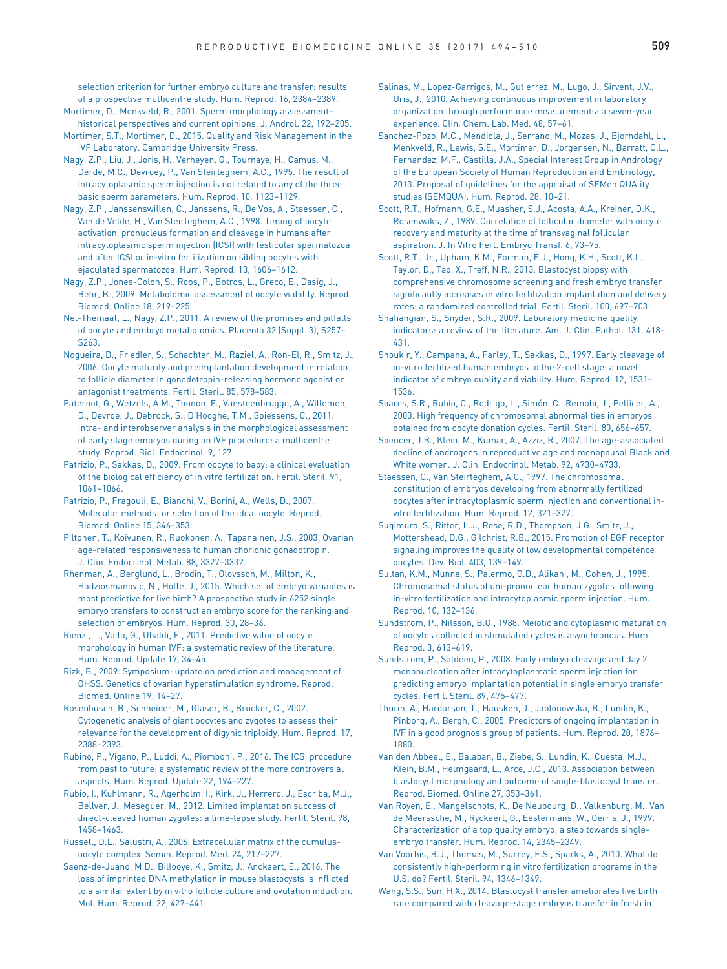selection criterion for further embryo culture and transfer: results [of a prospective multicentre study. Hum. Reprod. 16, 2384–2389.](http://refhub.elsevier.com/S1472-6483(17)30268-7/sr0330)

- [Mortimer, D., Menkveld, R., 2001. Sperm morphology assessment–](http://refhub.elsevier.com/S1472-6483(17)30268-7/sr0335) [historical perspectives and current opinions. J. Androl. 22, 192–205.](http://refhub.elsevier.com/S1472-6483(17)30268-7/sr0335) [Mortimer, S.T., Mortimer, D., 2015. Quality and Risk Management in the](http://refhub.elsevier.com/S1472-6483(17)30268-7/sr0340)
- [IVF Laboratory. Cambridge University Press.](http://refhub.elsevier.com/S1472-6483(17)30268-7/sr0340) [Nagy, Z.P., Liu, J., Joris, H., Verheyen, G., Tournaye, H., Camus, M.,](http://refhub.elsevier.com/S1472-6483(17)30268-7/sr0345)
- <span id="page-15-8"></span>[Derde, M.C., Devroey, P., Van Steirteghem, A.C., 1995. The result of](http://refhub.elsevier.com/S1472-6483(17)30268-7/sr0345) [intracytoplasmic sperm injection is not related to any of the three](http://refhub.elsevier.com/S1472-6483(17)30268-7/sr0345) [basic sperm parameters. Hum. Reprod. 10, 1123–1129.](http://refhub.elsevier.com/S1472-6483(17)30268-7/sr0345)
- [Nagy, Z.P., Janssenswillen, C., Janssens, R., De Vos, A., Staessen, C.,](http://refhub.elsevier.com/S1472-6483(17)30268-7/sr0350) [Van de Velde, H., Van Steirteghem, A.C., 1998. Timing of oocyte](http://refhub.elsevier.com/S1472-6483(17)30268-7/sr0350) [activation, pronucleus formation and cleavage in humans after](http://refhub.elsevier.com/S1472-6483(17)30268-7/sr0350) [intracytoplasmic sperm injection \(ICSI\) with testicular spermatozoa](http://refhub.elsevier.com/S1472-6483(17)30268-7/sr0350) [and after ICSI or in-vitro fertilization on sibling oocytes with](http://refhub.elsevier.com/S1472-6483(17)30268-7/sr0350) [ejaculated spermatozoa. Hum. Reprod. 13, 1606–1612.](http://refhub.elsevier.com/S1472-6483(17)30268-7/sr0350)
- <span id="page-15-6"></span>[Nagy, Z.P., Jones-Colon, S., Roos, P., Botros, L., Greco, E., Dasig, J.,](http://refhub.elsevier.com/S1472-6483(17)30268-7/sr0355) [Behr, B., 2009. Metabolomic assessment of oocyte viability. Reprod.](http://refhub.elsevier.com/S1472-6483(17)30268-7/sr0355) [Biomed. Online 18, 219–225.](http://refhub.elsevier.com/S1472-6483(17)30268-7/sr0355)
- [Nel-Themaat, L., Nagy, Z.P., 2011. A review of the promises and pitfalls](http://refhub.elsevier.com/S1472-6483(17)30268-7/sr0360) [of oocyte and embryo metabolomics. Placenta 32 \(Suppl. 3\), S257–](http://refhub.elsevier.com/S1472-6483(17)30268-7/sr0360) [S263.](http://refhub.elsevier.com/S1472-6483(17)30268-7/sr0360)
- [Nogueira, D., Friedler, S., Schachter, M., Raziel, A., Ron-El, R., Smitz, J.,](http://refhub.elsevier.com/S1472-6483(17)30268-7/sr0365) [2006. Oocyte maturity and preimplantation development in relation](http://refhub.elsevier.com/S1472-6483(17)30268-7/sr0365) [to follicle diameter in gonadotropin-releasing hormone agonist or](http://refhub.elsevier.com/S1472-6483(17)30268-7/sr0365) [antagonist treatments. Fertil. Steril. 85, 578–583.](http://refhub.elsevier.com/S1472-6483(17)30268-7/sr0365)
- <span id="page-15-14"></span>[Paternot, G., Wetzels, A.M., Thonon, F., Vansteenbrugge, A., Willemen,](http://refhub.elsevier.com/S1472-6483(17)30268-7/sr0370) [D., Devroe, J., Debrock, S., D'Hooghe, T.M., Spiessens, C., 2011.](http://refhub.elsevier.com/S1472-6483(17)30268-7/sr0370) [Intra- and interobserver analysis in the morphological assessment](http://refhub.elsevier.com/S1472-6483(17)30268-7/sr0370) [of early stage embryos during an IVF procedure: a multicentre](http://refhub.elsevier.com/S1472-6483(17)30268-7/sr0370) [study. Reprod. Biol. Endocrinol. 9, 127.](http://refhub.elsevier.com/S1472-6483(17)30268-7/sr0370)
- [Patrizio, P., Sakkas, D., 2009. From oocyte to baby: a clinical evaluation](http://refhub.elsevier.com/S1472-6483(17)30268-7/sr0375) [of the biological efficiency of in vitro fertilization. Fertil. Steril. 91,](http://refhub.elsevier.com/S1472-6483(17)30268-7/sr0375) [1061–1066.](http://refhub.elsevier.com/S1472-6483(17)30268-7/sr0375)
- [Patrizio, P., Fragouli, E., Bianchi, V., Borini, A., Wells, D., 2007.](http://refhub.elsevier.com/S1472-6483(17)30268-7/sr0380) [Molecular methods for selection of the ideal oocyte. Reprod.](http://refhub.elsevier.com/S1472-6483(17)30268-7/sr0380) [Biomed. Online 15, 346–353.](http://refhub.elsevier.com/S1472-6483(17)30268-7/sr0380)
- [Piltonen, T., Koivunen, R., Ruokonen, A., Tapanainen, J.S., 2003. Ovarian](http://refhub.elsevier.com/S1472-6483(17)30268-7/sr0385) [age-related responsiveness to human chorionic gonadotropin.](http://refhub.elsevier.com/S1472-6483(17)30268-7/sr0385) [J. Clin. Endocrinol. Metab. 88, 3327–3332.](http://refhub.elsevier.com/S1472-6483(17)30268-7/sr0385)
- <span id="page-15-13"></span>[Rhenman, A., Berglund, L., Brodin, T., Olovsson, M., Milton, K.,](http://refhub.elsevier.com/S1472-6483(17)30268-7/sr0390) [Hadziosmanovic, N., Holte, J., 2015. Which set of embryo variables is](http://refhub.elsevier.com/S1472-6483(17)30268-7/sr0390) [most predictive for live birth? A prospective study in 6252 single](http://refhub.elsevier.com/S1472-6483(17)30268-7/sr0390) [embryo transfers to construct an embryo score for the ranking and](http://refhub.elsevier.com/S1472-6483(17)30268-7/sr0390) [selection of embryos. Hum. Reprod. 30, 28–36.](http://refhub.elsevier.com/S1472-6483(17)30268-7/sr0390)
- [Rienzi, L., Vajta, G., Ubaldi, F., 2011. Predictive value of oocyte](http://refhub.elsevier.com/S1472-6483(17)30268-7/sr0395) [morphology in human IVF: a systematic review of the literature.](http://refhub.elsevier.com/S1472-6483(17)30268-7/sr0395) [Hum. Reprod. Update 17, 34–45.](http://refhub.elsevier.com/S1472-6483(17)30268-7/sr0395)
- [Rizk, B., 2009. Symposium: update on prediction and management of](http://refhub.elsevier.com/S1472-6483(17)30268-7/sr0400) [OHSS. Genetics of ovarian hyperstimulation syndrome. Reprod.](http://refhub.elsevier.com/S1472-6483(17)30268-7/sr0400) [Biomed. Online 19, 14–27.](http://refhub.elsevier.com/S1472-6483(17)30268-7/sr0400)
- [Rosenbusch, B., Schneider, M., Glaser, B., Brucker, C., 2002.](http://refhub.elsevier.com/S1472-6483(17)30268-7/sr0405) [Cytogenetic analysis of giant oocytes and zygotes to assess their](http://refhub.elsevier.com/S1472-6483(17)30268-7/sr0405) [relevance for the development of digynic triploidy. Hum. Reprod. 17,](http://refhub.elsevier.com/S1472-6483(17)30268-7/sr0405) [2388–2393.](http://refhub.elsevier.com/S1472-6483(17)30268-7/sr0405)
- <span id="page-15-9"></span>[Rubino, P., Vigano, P., Luddi, A., Piomboni, P., 2016. The ICSI procedure](http://refhub.elsevier.com/S1472-6483(17)30268-7/sr0410) [from past to future: a systematic review of the more controversial](http://refhub.elsevier.com/S1472-6483(17)30268-7/sr0410) [aspects. Hum. Reprod. Update 22, 194–227.](http://refhub.elsevier.com/S1472-6483(17)30268-7/sr0410)
- [Rubio, I., Kuhlmann, R., Agerholm, I., Kirk, J., Herrero, J., Escriba, M.J.,](http://refhub.elsevier.com/S1472-6483(17)30268-7/sr0415) [Bellver, J., Meseguer, M., 2012. Limited implantation success of](http://refhub.elsevier.com/S1472-6483(17)30268-7/sr0415) [direct-cleaved human zygotes: a time-lapse study. Fertil. Steril. 98,](http://refhub.elsevier.com/S1472-6483(17)30268-7/sr0415) [1458–1463.](http://refhub.elsevier.com/S1472-6483(17)30268-7/sr0415)
- <span id="page-15-7"></span>[Russell, D.L., Salustri, A., 2006. Extracellular matrix of the cumulus](http://refhub.elsevier.com/S1472-6483(17)30268-7/sr0420)[oocyte complex. Semin. Reprod. Med. 24, 217–227.](http://refhub.elsevier.com/S1472-6483(17)30268-7/sr0420)
- [Saenz-de-Juano, M.D., Billooye, K., Smitz, J., Anckaert, E., 2016. The](http://refhub.elsevier.com/S1472-6483(17)30268-7/sr0425) [loss of imprinted DNA methylation in mouse blastocysts is inflicted](http://refhub.elsevier.com/S1472-6483(17)30268-7/sr0425) [to a similar extent by in vitro follicle culture and ovulation induction.](http://refhub.elsevier.com/S1472-6483(17)30268-7/sr0425) [Mol. Hum. Reprod. 22, 427–441.](http://refhub.elsevier.com/S1472-6483(17)30268-7/sr0425)
- <span id="page-15-0"></span>[Salinas, M., Lopez-Garrigos, M., Gutierrez, M., Lugo, J., Sirvent, J.V.,](http://refhub.elsevier.com/S1472-6483(17)30268-7/sr0430) [Uris, J., 2010. Achieving continuous improvement in laboratory](http://refhub.elsevier.com/S1472-6483(17)30268-7/sr0430) [organization through performance measurements: a seven-year](http://refhub.elsevier.com/S1472-6483(17)30268-7/sr0430) [experience. Clin. Chem. Lab. Med. 48, 57–61.](http://refhub.elsevier.com/S1472-6483(17)30268-7/sr0430)
- [Sanchez-Pozo, M.C., Mendiola, J., Serrano, M., Mozas, J., Bjorndahl, L.,](http://refhub.elsevier.com/S1472-6483(17)30268-7/sr0435) [Menkveld, R., Lewis, S.E., Mortimer, D., Jorgensen, N., Barratt, C.L.,](http://refhub.elsevier.com/S1472-6483(17)30268-7/sr0435) [Fernandez, M.F., Castilla, J.A., Special Interest Group in Andrology](http://refhub.elsevier.com/S1472-6483(17)30268-7/sr0435) [of the European Society of Human Reproduction and Embriology,](http://refhub.elsevier.com/S1472-6483(17)30268-7/sr0435) [2013. Proposal of guidelines for the appraisal of SEMen QUAlity](http://refhub.elsevier.com/S1472-6483(17)30268-7/sr0435) [studies \(SEMQUA\). Hum. Reprod. 28, 10–21.](http://refhub.elsevier.com/S1472-6483(17)30268-7/sr0435)
- [Scott, R.T., Hofmann, G.E., Muasher, S.J., Acosta, A.A., Kreiner, D.K.,](http://refhub.elsevier.com/S1472-6483(17)30268-7/sr0440) [Rosenwaks, Z., 1989. Correlation of follicular diameter with oocyte](http://refhub.elsevier.com/S1472-6483(17)30268-7/sr0440) [recovery and maturity at the time of transvaginal follicular](http://refhub.elsevier.com/S1472-6483(17)30268-7/sr0440) [aspiration. J. In Vitro Fert. Embryo Transf. 6, 73–75.](http://refhub.elsevier.com/S1472-6483(17)30268-7/sr0440)
- [Scott, R.T., Jr., Upham, K.M., Forman, E.J., Hong, K.H., Scott, K.L.,](http://refhub.elsevier.com/S1472-6483(17)30268-7/sr0445) [Taylor, D., Tao, X., Treff, N.R., 2013. Blastocyst biopsy with](http://refhub.elsevier.com/S1472-6483(17)30268-7/sr0445) [comprehensive chromosome screening and fresh embryo transfer](http://refhub.elsevier.com/S1472-6483(17)30268-7/sr0445) [significantly increases in vitro fertilization implantation and delivery](http://refhub.elsevier.com/S1472-6483(17)30268-7/sr0445) [rates: a randomized controlled trial. Fertil. Steril. 100, 697–703.](http://refhub.elsevier.com/S1472-6483(17)30268-7/sr0445)
- <span id="page-15-1"></span>[Shahangian, S., Snyder, S.R., 2009. Laboratory medicine quality](http://refhub.elsevier.com/S1472-6483(17)30268-7/sr0450) [indicators: a review of the literature. Am. J. Clin. Pathol. 131, 418–](http://refhub.elsevier.com/S1472-6483(17)30268-7/sr0450) [431.](http://refhub.elsevier.com/S1472-6483(17)30268-7/sr0450)
- <span id="page-15-10"></span>[Shoukir, Y., Campana, A., Farley, T., Sakkas, D., 1997. Early cleavage of](http://refhub.elsevier.com/S1472-6483(17)30268-7/sr0455) [in-vitro fertilized human embryos to the 2-cell stage: a novel](http://refhub.elsevier.com/S1472-6483(17)30268-7/sr0455) [indicator of embryo quality and viability. Hum. Reprod. 12, 1531–](http://refhub.elsevier.com/S1472-6483(17)30268-7/sr0455) [1536.](http://refhub.elsevier.com/S1472-6483(17)30268-7/sr0455)
- <span id="page-15-2"></span>[Soares, S.R., Rubio, C., Rodrigo, L., Simón, C., Remohí, J., Pellicer, A.,](http://refhub.elsevier.com/S1472-6483(17)30268-7/sr9000) [2003. High frequency of chromosomal abnormalities in embryos](http://refhub.elsevier.com/S1472-6483(17)30268-7/sr9000) [obtained from oocyte donation cycles. Fertil. Steril. 80, 656–657.](http://refhub.elsevier.com/S1472-6483(17)30268-7/sr9000)
- <span id="page-15-3"></span>[Spencer, J.B., Klein, M., Kumar, A., Azziz, R., 2007. The age-associated](http://refhub.elsevier.com/S1472-6483(17)30268-7/sr0460) [decline of androgens in reproductive age and menopausal Black and](http://refhub.elsevier.com/S1472-6483(17)30268-7/sr0460) [White women. J. Clin. Endocrinol. Metab. 92, 4730–4733.](http://refhub.elsevier.com/S1472-6483(17)30268-7/sr0460)
- [Staessen, C., Van Steirteghem, A.C., 1997. The chromosomal](http://refhub.elsevier.com/S1472-6483(17)30268-7/sr0465) [constitution of embryos developing from abnormally fertilized](http://refhub.elsevier.com/S1472-6483(17)30268-7/sr0465) [oocytes after intracytoplasmic sperm injection and conventional in](http://refhub.elsevier.com/S1472-6483(17)30268-7/sr0465)[vitro fertilization. Hum. Reprod. 12, 321–327.](http://refhub.elsevier.com/S1472-6483(17)30268-7/sr0465)
- <span id="page-15-4"></span>[Sugimura, S., Ritter, L.J., Rose, R.D., Thompson, J.G., Smitz, J.,](http://refhub.elsevier.com/S1472-6483(17)30268-7/sr0470) [Mottershead, D.G., Gilchrist, R.B., 2015. Promotion of EGF receptor](http://refhub.elsevier.com/S1472-6483(17)30268-7/sr0470) [signaling improves the quality of low developmental competence](http://refhub.elsevier.com/S1472-6483(17)30268-7/sr0470) [oocytes. Dev. Biol. 403, 139–149.](http://refhub.elsevier.com/S1472-6483(17)30268-7/sr0470)
- [Sultan, K.M., Munne, S., Palermo, G.D., Alikani, M., Cohen, J., 1995.](http://refhub.elsevier.com/S1472-6483(17)30268-7/sr0475) [Chromosomal status of uni-pronuclear human zygotes following](http://refhub.elsevier.com/S1472-6483(17)30268-7/sr0475) [in-vitro fertilization and intracytoplasmic sperm injection. Hum.](http://refhub.elsevier.com/S1472-6483(17)30268-7/sr0475) [Reprod. 10, 132–136.](http://refhub.elsevier.com/S1472-6483(17)30268-7/sr0475)
- [Sundstrom, P., Nilsson, B.O., 1988. Meiotic and cytoplasmic maturation](http://refhub.elsevier.com/S1472-6483(17)30268-7/sr0480) [of oocytes collected in stimulated cycles is asynchronous. Hum.](http://refhub.elsevier.com/S1472-6483(17)30268-7/sr0480) [Reprod. 3, 613–619.](http://refhub.elsevier.com/S1472-6483(17)30268-7/sr0480)
- [Sundstrom, P., Saldeen, P., 2008. Early embryo cleavage and day 2](http://refhub.elsevier.com/S1472-6483(17)30268-7/sr0485) [mononucleation after intracytoplasmatic sperm injection for](http://refhub.elsevier.com/S1472-6483(17)30268-7/sr0485) [predicting embryo implantation potential in single embryo transfer](http://refhub.elsevier.com/S1472-6483(17)30268-7/sr0485) [cycles. Fertil. Steril. 89, 475–477.](http://refhub.elsevier.com/S1472-6483(17)30268-7/sr0485)
- <span id="page-15-11"></span>[Thurin, A., Hardarson, T., Hausken, J., Jablonowska, B., Lundin, K.,](http://refhub.elsevier.com/S1472-6483(17)30268-7/sr0490) [Pinborg, A., Bergh, C., 2005. Predictors of ongoing implantation in](http://refhub.elsevier.com/S1472-6483(17)30268-7/sr0490) [IVF in a good prognosis group of patients. Hum. Reprod. 20, 1876–](http://refhub.elsevier.com/S1472-6483(17)30268-7/sr0490) [1880.](http://refhub.elsevier.com/S1472-6483(17)30268-7/sr0490)
- <span id="page-15-15"></span>[Van den Abbeel, E., Balaban, B., Ziebe, S., Lundin, K., Cuesta, M.J.,](http://refhub.elsevier.com/S1472-6483(17)30268-7/sr0495) [Klein, B.M., Helmgaard, L., Arce, J.C., 2013. Association between](http://refhub.elsevier.com/S1472-6483(17)30268-7/sr0495) [blastocyst morphology and outcome of single-blastocyst transfer.](http://refhub.elsevier.com/S1472-6483(17)30268-7/sr0495) [Reprod. Biomed. Online 27, 353–361.](http://refhub.elsevier.com/S1472-6483(17)30268-7/sr0495)
- <span id="page-15-12"></span>[Van Royen, E., Mangelschots, K., De Neubourg, D., Valkenburg, M., Van](http://refhub.elsevier.com/S1472-6483(17)30268-7/sr0500) [de Meerssche, M., Ryckaert, G., Eestermans, W., Gerris, J., 1999.](http://refhub.elsevier.com/S1472-6483(17)30268-7/sr0500) [Characterization of a top quality embryo, a step towards single](http://refhub.elsevier.com/S1472-6483(17)30268-7/sr0500)[embryo transfer. Hum. Reprod. 14, 2345–2349.](http://refhub.elsevier.com/S1472-6483(17)30268-7/sr0500)
- <span id="page-15-5"></span>[Van Voorhis, B.J., Thomas, M., Surrey, E.S., Sparks, A., 2010. What do](http://refhub.elsevier.com/S1472-6483(17)30268-7/sr0505) [consistently high-performing in vitro fertilization programs in the](http://refhub.elsevier.com/S1472-6483(17)30268-7/sr0505) [U.S. do? Fertil. Steril. 94, 1346–1349.](http://refhub.elsevier.com/S1472-6483(17)30268-7/sr0505)
- <span id="page-15-16"></span>[Wang, S.S., Sun, H.X., 2014. Blastocyst transfer ameliorates live birth](http://refhub.elsevier.com/S1472-6483(17)30268-7/sr0510) [rate compared with cleavage-stage embryos transfer in fresh in](http://refhub.elsevier.com/S1472-6483(17)30268-7/sr0510)